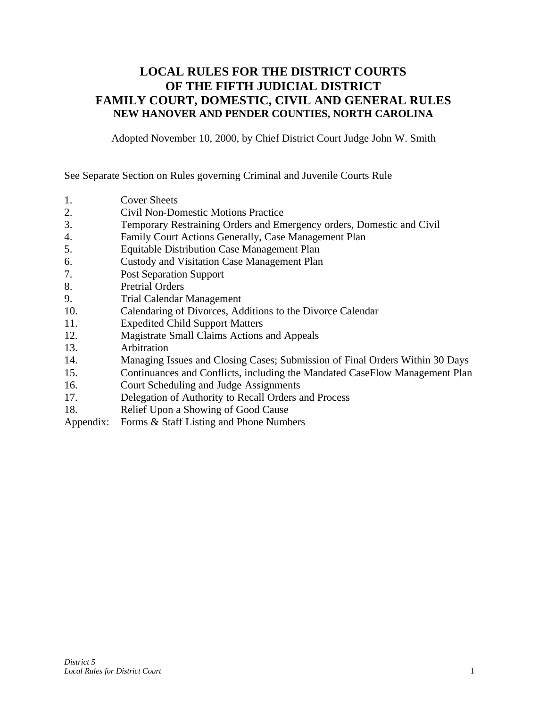### **LOCAL RULES FOR THE DISTRICT COURTS OF THE FIFTH JUDICIAL DISTRICT FAMILY COURT, DOMESTIC, CIVIL AND GENERAL RULES NEW HANOVER AND PENDER COUNTIES, NORTH CAROLINA**

Adopted November 10, 2000, by Chief District Court Judge John W. Smith

See Separate Section on Rules governing Criminal and Juvenile Courts Rule

- 1. Cover Sheets
- 2. Civil Non-Domestic Motions Practice
- 3. Temporary Restraining Orders and Emergency orders, Domestic and Civil
- 4. Family Court Actions Generally, Case Management Plan
- 5. Equitable Distribution Case Management Plan
- 6. Custody and Visitation Case Management Plan
- 7. Post Separation Support
- 8. Pretrial Orders
- 9. Trial Calendar Management
- 10. Calendaring of Divorces, Additions to the Divorce Calendar
- 11. Expedited Child Support Matters
- 12. Magistrate Small Claims Actions and Appeals
- 13. Arbitration
- 14. Managing Issues and Closing Cases; Submission of Final Orders Within 30 Days
- 15. Continuances and Conflicts, including the Mandated CaseFlow Management Plan
- 16. Court Scheduling and Judge Assignments
- 17. Delegation of Authority to Recall Orders and Process
- 18. Relief Upon a Showing of Good Cause
- Appendix: Forms & Staff Listing and Phone Numbers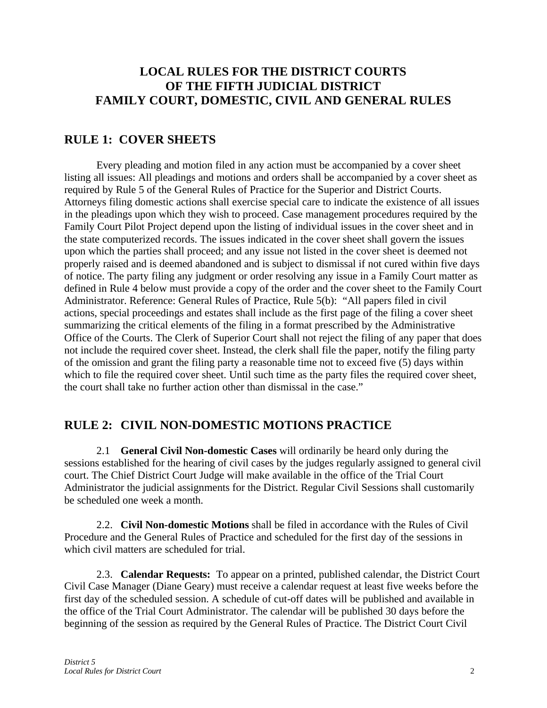### **LOCAL RULES FOR THE DISTRICT COURTS OF THE FIFTH JUDICIAL DISTRICT FAMILY COURT, DOMESTIC, CIVIL AND GENERAL RULES**

### **RULE 1: COVER SHEETS**

Every pleading and motion filed in any action must be accompanied by a cover sheet listing all issues: All pleadings and motions and orders shall be accompanied by a cover sheet as required by Rule 5 of the General Rules of Practice for the Superior and District Courts. Attorneys filing domestic actions shall exercise special care to indicate the existence of all issues in the pleadings upon which they wish to proceed. Case management procedures required by the Family Court Pilot Project depend upon the listing of individual issues in the cover sheet and in the state computerized records. The issues indicated in the cover sheet shall govern the issues upon which the parties shall proceed; and any issue not listed in the cover sheet is deemed not properly raised and is deemed abandoned and is subject to dismissal if not cured within five days of notice. The party filing any judgment or order resolving any issue in a Family Court matter as defined in Rule 4 below must provide a copy of the order and the cover sheet to the Family Court Administrator. Reference: General Rules of Practice, Rule 5(b): "All papers filed in civil actions, special proceedings and estates shall include as the first page of the filing a cover sheet summarizing the critical elements of the filing in a format prescribed by the Administrative Office of the Courts. The Clerk of Superior Court shall not reject the filing of any paper that does not include the required cover sheet. Instead, the clerk shall file the paper, notify the filing party of the omission and grant the filing party a reasonable time not to exceed five (5) days within which to file the required cover sheet. Until such time as the party files the required cover sheet, the court shall take no further action other than dismissal in the case."

### **RULE 2: CIVIL NON-DOMESTIC MOTIONS PRACTICE**

2.1 **General Civil Non-domestic Cases** will ordinarily be heard only during the sessions established for the hearing of civil cases by the judges regularly assigned to general civil court. The Chief District Court Judge will make available in the office of the Trial Court Administrator the judicial assignments for the District. Regular Civil Sessions shall customarily be scheduled one week a month.

2.2. **Civil Non-domestic Motions** shall be filed in accordance with the Rules of Civil Procedure and the General Rules of Practice and scheduled for the first day of the sessions in which civil matters are scheduled for trial.

2.3. **Calendar Requests:** To appear on a printed, published calendar, the District Court Civil Case Manager (Diane Geary) must receive a calendar request at least five weeks before the first day of the scheduled session. A schedule of cut-off dates will be published and available in the office of the Trial Court Administrator. The calendar will be published 30 days before the beginning of the session as required by the General Rules of Practice. The District Court Civil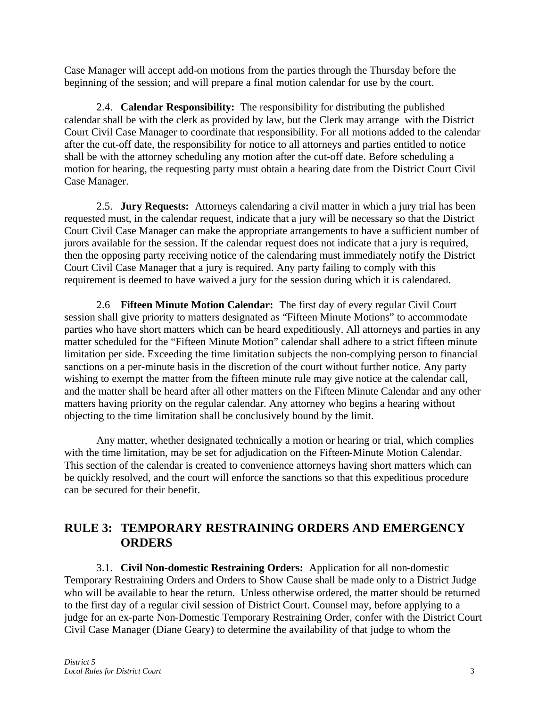Case Manager will accept add-on motions from the parties through the Thursday before the beginning of the session; and will prepare a final motion calendar for use by the court.

2.4. **Calendar Responsibility:** The responsibility for distributing the published calendar shall be with the clerk as provided by law, but the Clerk may arrange with the District Court Civil Case Manager to coordinate that responsibility. For all motions added to the calendar after the cut-off date, the responsibility for notice to all attorneys and parties entitled to notice shall be with the attorney scheduling any motion after the cut-off date. Before scheduling a motion for hearing, the requesting party must obtain a hearing date from the District Court Civil Case Manager.

2.5. **Jury Requests:** Attorneys calendaring a civil matter in which a jury trial has been requested must, in the calendar request, indicate that a jury will be necessary so that the District Court Civil Case Manager can make the appropriate arrangements to have a sufficient number of jurors available for the session. If the calendar request does not indicate that a jury is required, then the opposing party receiving notice of the calendaring must immediately notify the District Court Civil Case Manager that a jury is required. Any party failing to comply with this requirement is deemed to have waived a jury for the session during which it is calendared.

2.6 **Fifteen Minute Motion Calendar:** The first day of every regular Civil Court session shall give priority to matters designated as "Fifteen Minute Motions" to accommodate parties who have short matters which can be heard expeditiously. All attorneys and parties in any matter scheduled for the "Fifteen Minute Motion" calendar shall adhere to a strict fifteen minute limitation per side. Exceeding the time limitation subjects the non-complying person to financial sanctions on a per-minute basis in the discretion of the court without further notice. Any party wishing to exempt the matter from the fifteen minute rule may give notice at the calendar call, and the matter shall be heard after all other matters on the Fifteen Minute Calendar and any other matters having priority on the regular calendar. Any attorney who begins a hearing without objecting to the time limitation shall be conclusively bound by the limit.

Any matter, whether designated technically a motion or hearing or trial, which complies with the time limitation, may be set for adjudication on the Fifteen-Minute Motion Calendar. This section of the calendar is created to convenience attorneys having short matters which can be quickly resolved, and the court will enforce the sanctions so that this expeditious procedure can be secured for their benefit.

### **RULE 3: TEMPORARY RESTRAINING ORDERS AND EMERGENCY ORDERS**

3.1. **Civil Non-domestic Restraining Orders:** Application for all non-domestic Temporary Restraining Orders and Orders to Show Cause shall be made only to a District Judge who will be available to hear the return. Unless otherwise ordered, the matter should be returned to the first day of a regular civil session of District Court. Counsel may, before applying to a judge for an ex-parte Non-Domestic Temporary Restraining Order, confer with the District Court Civil Case Manager (Diane Geary) to determine the availability of that judge to whom the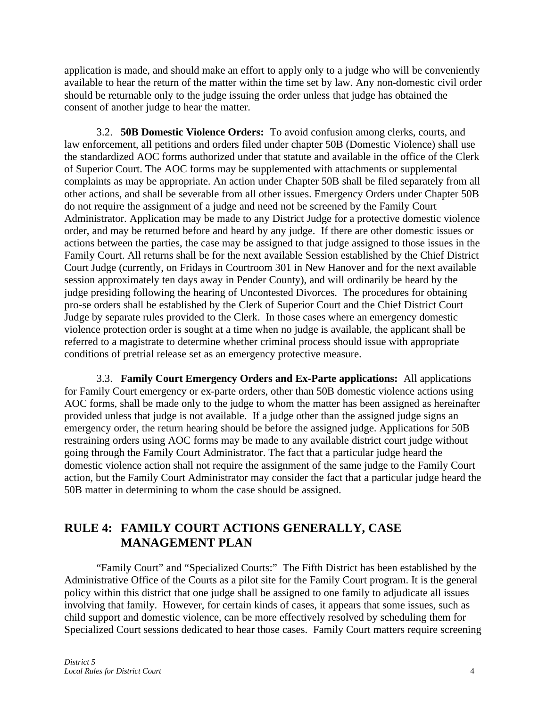application is made, and should make an effort to apply only to a judge who will be conveniently available to hear the return of the matter within the time set by law. Any non-domestic civil order should be returnable only to the judge issuing the order unless that judge has obtained the consent of another judge to hear the matter.

3.2. **50B Domestic Violence Orders:** To avoid confusion among clerks, courts, and law enforcement, all petitions and orders filed under chapter 50B (Domestic Violence) shall use the standardized AOC forms authorized under that statute and available in the office of the Clerk of Superior Court. The AOC forms may be supplemented with attachments or supplemental complaints as may be appropriate. An action under Chapter 50B shall be filed separately from all other actions, and shall be severable from all other issues. Emergency Orders under Chapter 50B do not require the assignment of a judge and need not be screened by the Family Court Administrator. Application may be made to any District Judge for a protective domestic violence order, and may be returned before and heard by any judge. If there are other domestic issues or actions between the parties, the case may be assigned to that judge assigned to those issues in the Family Court. All returns shall be for the next available Session established by the Chief District Court Judge (currently, on Fridays in Courtroom 301 in New Hanover and for the next available session approximately ten days away in Pender County), and will ordinarily be heard by the judge presiding following the hearing of Uncontested Divorces. The procedures for obtaining pro-se orders shall be established by the Clerk of Superior Court and the Chief District Court Judge by separate rules provided to the Clerk. In those cases where an emergency domestic violence protection order is sought at a time when no judge is available, the applicant shall be referred to a magistrate to determine whether criminal process should issue with appropriate conditions of pretrial release set as an emergency protective measure.

3.3. **Family Court Emergency Orders and Ex-Parte applications:** All applications for Family Court emergency or ex-parte orders, other than 50B domestic violence actions using AOC forms, shall be made only to the judge to whom the matter has been assigned as hereinafter provided unless that judge is not available. If a judge other than the assigned judge signs an emergency order, the return hearing should be before the assigned judge. Applications for 50B restraining orders using AOC forms may be made to any available district court judge without going through the Family Court Administrator. The fact that a particular judge heard the domestic violence action shall not require the assignment of the same judge to the Family Court action, but the Family Court Administrator may consider the fact that a particular judge heard the 50B matter in determining to whom the case should be assigned.

### **RULE 4: FAMILY COURT ACTIONS GENERALLY, CASE MANAGEMENT PLAN**

"Family Court" and "Specialized Courts:" The Fifth District has been established by the Administrative Office of the Courts as a pilot site for the Family Court program. It is the general policy within this district that one judge shall be assigned to one family to adjudicate all issues involving that family. However, for certain kinds of cases, it appears that some issues, such as child support and domestic violence, can be more effectively resolved by scheduling them for Specialized Court sessions dedicated to hear those cases. Family Court matters require screening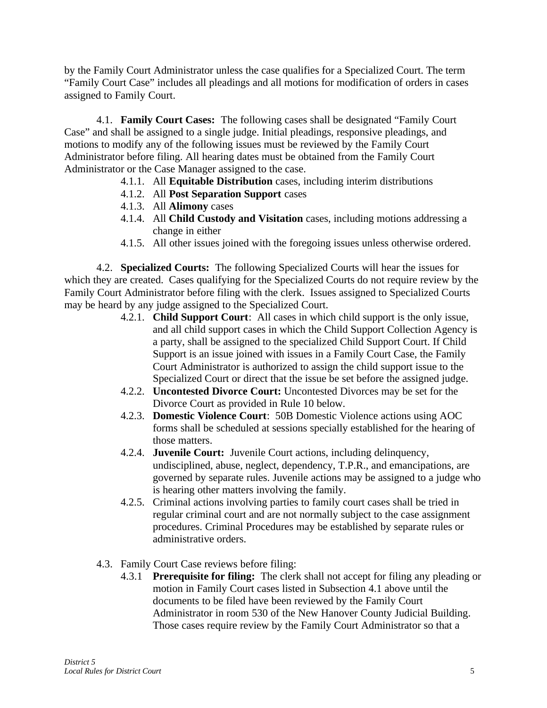by the Family Court Administrator unless the case qualifies for a Specialized Court. The term "Family Court Case" includes all pleadings and all motions for modification of orders in cases assigned to Family Court.

4.1. **Family Court Cases:** The following cases shall be designated "Family Court Case" and shall be assigned to a single judge. Initial pleadings, responsive pleadings, and motions to modify any of the following issues must be reviewed by the Family Court Administrator before filing. All hearing dates must be obtained from the Family Court Administrator or the Case Manager assigned to the case.

- 4.1.1. All **Equitable Distribution** cases, including interim distributions
- 4.1.2. All **Post Separation Support** cases
- 4.1.3. All **Alimony** cases
- 4.1.4. All **Child Custody and Visitation** cases, including motions addressing a change in either
- 4.1.5. All other issues joined with the foregoing issues unless otherwise ordered.

4.2. **Specialized Courts:** The following Specialized Courts will hear the issues for which they are created. Cases qualifying for the Specialized Courts do not require review by the Family Court Administrator before filing with the clerk. Issues assigned to Specialized Courts may be heard by any judge assigned to the Specialized Court.

- 4.2.1. **Child Support Court**: All cases in which child support is the only issue, and all child support cases in which the Child Support Collection Agency is a party, shall be assigned to the specialized Child Support Court. If Child Support is an issue joined with issues in a Family Court Case, the Family Court Administrator is authorized to assign the child support issue to the Specialized Court or direct that the issue be set before the assigned judge.
- 4.2.2. **Uncontested Divorce Court:** Uncontested Divorces may be set for the Divorce Court as provided in Rule 10 below.
- 4.2.3. **Domestic Violence Court**: 50B Domestic Violence actions using AOC forms shall be scheduled at sessions specially established for the hearing of those matters.
- 4.2.4. **Juvenile Court:** Juvenile Court actions, including delinquency, undisciplined, abuse, neglect, dependency, T.P.R., and emancipations, are governed by separate rules. Juvenile actions may be assigned to a judge who is hearing other matters involving the family.
- 4.2.5. Criminal actions involving parties to family court cases shall be tried in regular criminal court and are not normally subject to the case assignment procedures. Criminal Procedures may be established by separate rules or administrative orders.
- 4.3. Family Court Case reviews before filing:
	- 4.3.1 **Prerequisite for filing:** The clerk shall not accept for filing any pleading or motion in Family Court cases listed in Subsection 4.1 above until the documents to be filed have been reviewed by the Family Court Administrator in room 530 of the New Hanover County Judicial Building. Those cases require review by the Family Court Administrator so that a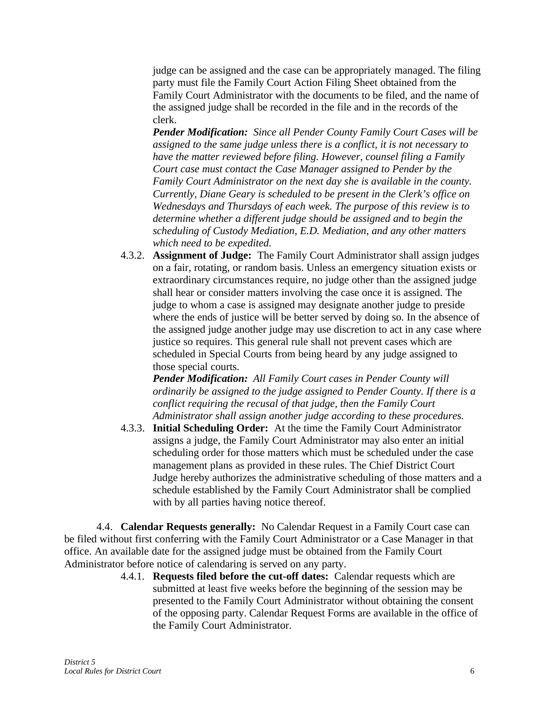judge can be assigned and the case can be appropriately managed. The filing party must file the Family Court Action Filing Sheet obtained from the Family Court Administrator with the documents to be filed, and the name of the assigned judge shall be recorded in the file and in the records of the clerk.

*Pender Modification: Since all Pender County Family Court Cases will be assigned to the same judge unless there is a conflict, it is not necessary to have the matter reviewed before filing. However, counsel filing a Family Court case must contact the Case Manager assigned to Pender by the Family Court Administrator on the next day she is available in the county. Currently, Diane Geary is scheduled to be present in the Clerk's office on Wednesdays and Thursdays of each week. The purpose of this review is to determine whether a different judge should be assigned and to begin the scheduling of Custody Mediation, E.D. Mediation, and any other matters which need to be expedited.* 

4.3.2. **Assignment of Judge:** The Family Court Administrator shall assign judges on a fair, rotating, or random basis. Unless an emergency situation exists or extraordinary circumstances require, no judge other than the assigned judge shall hear or consider matters involving the case once it is assigned. The judge to whom a case is assigned may designate another judge to preside where the ends of justice will be better served by doing so. In the absence of the assigned judge another judge may use discretion to act in any case where justice so requires. This general rule shall not prevent cases which are scheduled in Special Courts from being heard by any judge assigned to those special courts.

*Pender Modification: All Family Court cases in Pender County will ordinarily be assigned to the judge assigned to Pender County. If there is a conflict requiring the recusal of that judge, then the Family Court Administrator shall assign another judge according to these procedures.*

4.3.3. **Initial Scheduling Order:** At the time the Family Court Administrator assigns a judge, the Family Court Administrator may also enter an initial scheduling order for those matters which must be scheduled under the case management plans as provided in these rules. The Chief District Court Judge hereby authorizes the administrative scheduling of those matters and a schedule established by the Family Court Administrator shall be complied with by all parties having notice thereof.

4.4. **Calendar Requests generally:** No Calendar Request in a Family Court case can be filed without first conferring with the Family Court Administrator or a Case Manager in that office. An available date for the assigned judge must be obtained from the Family Court Administrator before notice of calendaring is served on any party.

> 4.4.1. **Requests filed before the cut-off dates:** Calendar requests which are submitted at least five weeks before the beginning of the session may be presented to the Family Court Administrator without obtaining the consent of the opposing party. Calendar Request Forms are available in the office of the Family Court Administrator.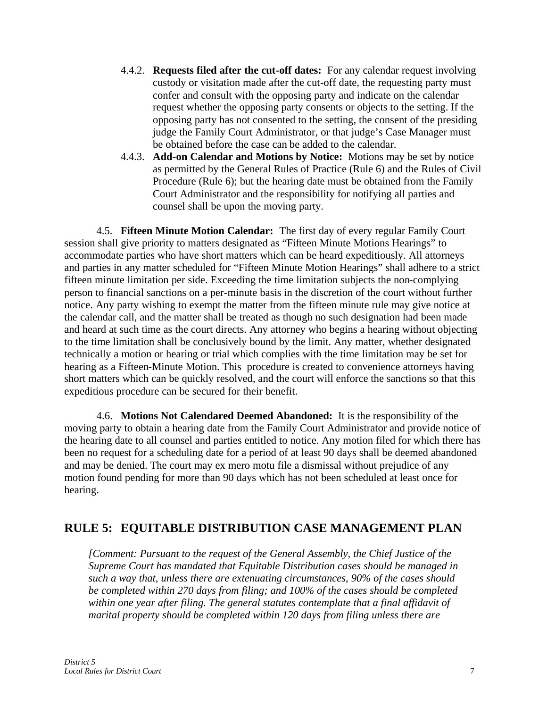- 4.4.2. **Requests filed after the cut-off dates:** For any calendar request involving custody or visitation made after the cut-off date, the requesting party must confer and consult with the opposing party and indicate on the calendar request whether the opposing party consents or objects to the setting. If the opposing party has not consented to the setting, the consent of the presiding judge the Family Court Administrator, or that judge's Case Manager must be obtained before the case can be added to the calendar.
- 4.4.3. **Add-on Calendar and Motions by Notice:** Motions may be set by notice as permitted by the General Rules of Practice (Rule 6) and the Rules of Civil Procedure (Rule 6); but the hearing date must be obtained from the Family Court Administrator and the responsibility for notifying all parties and counsel shall be upon the moving party.

4.5. **Fifteen Minute Motion Calendar:** The first day of every regular Family Court session shall give priority to matters designated as "Fifteen Minute Motions Hearings" to accommodate parties who have short matters which can be heard expeditiously. All attorneys and parties in any matter scheduled for "Fifteen Minute Motion Hearings" shall adhere to a strict fifteen minute limitation per side. Exceeding the time limitation subjects the non-complying person to financial sanctions on a per-minute basis in the discretion of the court without further notice. Any party wishing to exempt the matter from the fifteen minute rule may give notice at the calendar call, and the matter shall be treated as though no such designation had been made and heard at such time as the court directs. Any attorney who begins a hearing without objecting to the time limitation shall be conclusively bound by the limit. Any matter, whether designated technically a motion or hearing or trial which complies with the time limitation may be set for hearing as a Fifteen-Minute Motion. This procedure is created to convenience attorneys having short matters which can be quickly resolved, and the court will enforce the sanctions so that this expeditious procedure can be secured for their benefit.

4.6. **Motions Not Calendared Deemed Abandoned:** It is the responsibility of the moving party to obtain a hearing date from the Family Court Administrator and provide notice of the hearing date to all counsel and parties entitled to notice. Any motion filed for which there has been no request for a scheduling date for a period of at least 90 days shall be deemed abandoned and may be denied. The court may ex mero motu file a dismissal without prejudice of any motion found pending for more than 90 days which has not been scheduled at least once for hearing.

### **RULE 5: EQUITABLE DISTRIBUTION CASE MANAGEMENT PLAN**

*[Comment: Pursuant to the request of the General Assembly, the Chief Justice of the Supreme Court has mandated that Equitable Distribution cases should be managed in such a way that, unless there are extenuating circumstances, 90% of the cases should be completed within 270 days from filing; and 100% of the cases should be completed within one year after filing. The general statutes contemplate that a final affidavit of marital property should be completed within 120 days from filing unless there are*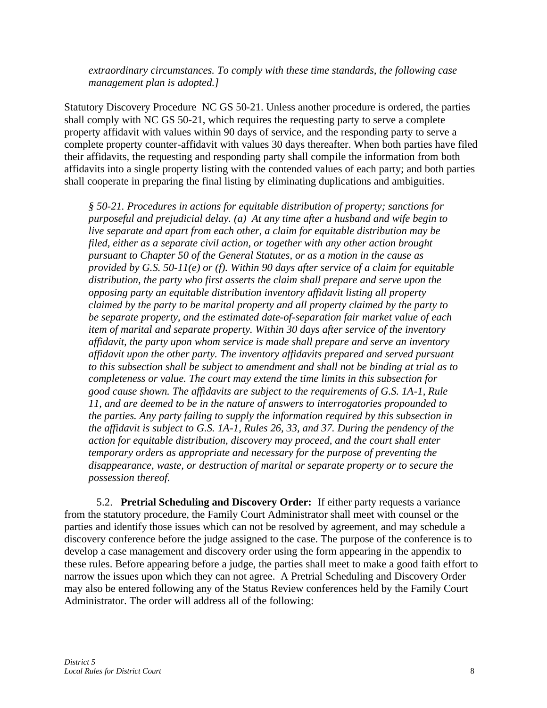*extraordinary circumstances. To comply with these time standards, the following case management plan is adopted.]*

Statutory Discovery Procedure NC GS 50-21. Unless another procedure is ordered, the parties shall comply with NC GS 50-21, which requires the requesting party to serve a complete property affidavit with values within 90 days of service, and the responding party to serve a complete property counter-affidavit with values 30 days thereafter. When both parties have filed their affidavits, the requesting and responding party shall compile the information from both affidavits into a single property listing with the contended values of each party; and both parties shall cooperate in preparing the final listing by eliminating duplications and ambiguities.

*§ 50-21. Procedures in actions for equitable distribution of property; sanctions for purposeful and prejudicial delay. (a) At any time after a husband and wife begin to live separate and apart from each other, a claim for equitable distribution may be filed, either as a separate civil action, or together with any other action brought pursuant to Chapter 50 of the General Statutes, or as a motion in the cause as provided by G.S. 50-11(e) or (f). Within 90 days after service of a claim for equitable distribution, the party who first asserts the claim shall prepare and serve upon the opposing party an equitable distribution inventory affidavit listing all property claimed by the party to be marital property and all property claimed by the party to be separate property, and the estimated date-of-separation fair market value of each item of marital and separate property. Within 30 days after service of the inventory affidavit, the party upon whom service is made shall prepare and serve an inventory affidavit upon the other party. The inventory affidavits prepared and served pursuant to this subsection shall be subject to amendment and shall not be binding at trial as to completeness or value. The court may extend the time limits in this subsection for good cause shown. The affidavits are subject to the requirements of G.S. 1A-1, Rule 11, and are deemed to be in the nature of answers to interrogatories propounded to the parties. Any party failing to supply the information required by this subsection in the affidavit is subject to G.S. 1A-1, Rules 26, 33, and 37. During the pendency of the action for equitable distribution, discovery may proceed, and the court shall enter temporary orders as appropriate and necessary for the purpose of preventing the disappearance, waste, or destruction of marital or separate property or to secure the possession thereof.* 

5.2. **Pretrial Scheduling and Discovery Order:** If either party requests a variance from the statutory procedure, the Family Court Administrator shall meet with counsel or the parties and identify those issues which can not be resolved by agreement, and may schedule a discovery conference before the judge assigned to the case. The purpose of the conference is to develop a case management and discovery order using the form appearing in the appendix to these rules. Before appearing before a judge, the parties shall meet to make a good faith effort to narrow the issues upon which they can not agree. A Pretrial Scheduling and Discovery Order may also be entered following any of the Status Review conferences held by the Family Court Administrator. The order will address all of the following: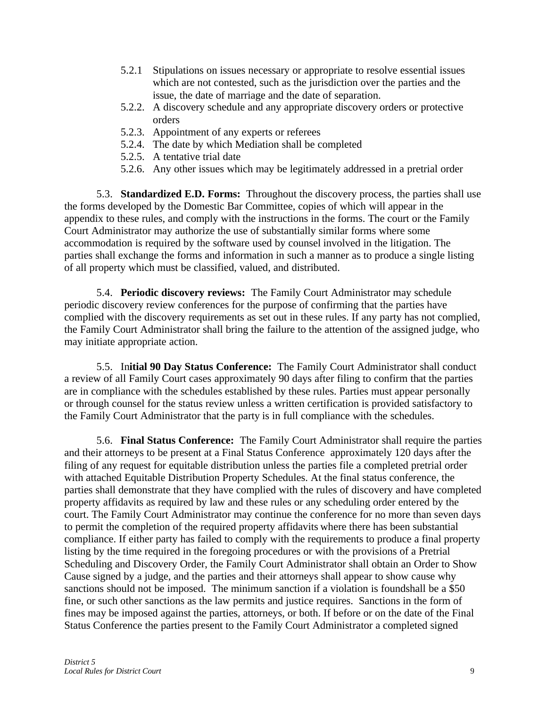- 5.2.1 Stipulations on issues necessary or appropriate to resolve essential issues which are not contested, such as the jurisdiction over the parties and the issue, the date of marriage and the date of separation.
- 5.2.2. A discovery schedule and any appropriate discovery orders or protective orders
- 5.2.3. Appointment of any experts or referees
- 5.2.4. The date by which Mediation shall be completed
- 5.2.5. A tentative trial date
- 5.2.6. Any other issues which may be legitimately addressed in a pretrial order

5.3. **Standardized E.D. Forms:** Throughout the discovery process, the parties shall use the forms developed by the Domestic Bar Committee, copies of which will appear in the appendix to these rules, and comply with the instructions in the forms. The court or the Family Court Administrator may authorize the use of substantially similar forms where some accommodation is required by the software used by counsel involved in the litigation. The parties shall exchange the forms and information in such a manner as to produce a single listing of all property which must be classified, valued, and distributed.

5.4. **Periodic discovery reviews:** The Family Court Administrator may schedule periodic discovery review conferences for the purpose of confirming that the parties have complied with the discovery requirements as set out in these rules. If any party has not complied, the Family Court Administrator shall bring the failure to the attention of the assigned judge, who may initiate appropriate action.

5.5. In**itial 90 Day Status Conference:** The Family Court Administrator shall conduct a review of all Family Court cases approximately 90 days after filing to confirm that the parties are in compliance with the schedules established by these rules. Parties must appear personally or through counsel for the status review unless a written certification is provided satisfactory to the Family Court Administrator that the party is in full compliance with the schedules.

5.6. **Final Status Conference:** The Family Court Administrator shall require the parties and their attorneys to be present at a Final Status Conference approximately 120 days after the filing of any request for equitable distribution unless the parties file a completed pretrial order with attached Equitable Distribution Property Schedules. At the final status conference, the parties shall demonstrate that they have complied with the rules of discovery and have completed property affidavits as required by law and these rules or any scheduling order entered by the court. The Family Court Administrator may continue the conference for no more than seven days to permit the completion of the required property affidavits where there has been substantial compliance. If either party has failed to comply with the requirements to produce a final property listing by the time required in the foregoing procedures or with the provisions of a Pretrial Scheduling and Discovery Order, the Family Court Administrator shall obtain an Order to Show Cause signed by a judge, and the parties and their attorneys shall appear to show cause why sanctions should not be imposed. The minimum sanction if a violation is foundshall be a \$50 fine, or such other sanctions as the law permits and justice requires. Sanctions in the form of fines may be imposed against the parties, attorneys, or both. If before or on the date of the Final Status Conference the parties present to the Family Court Administrator a completed signed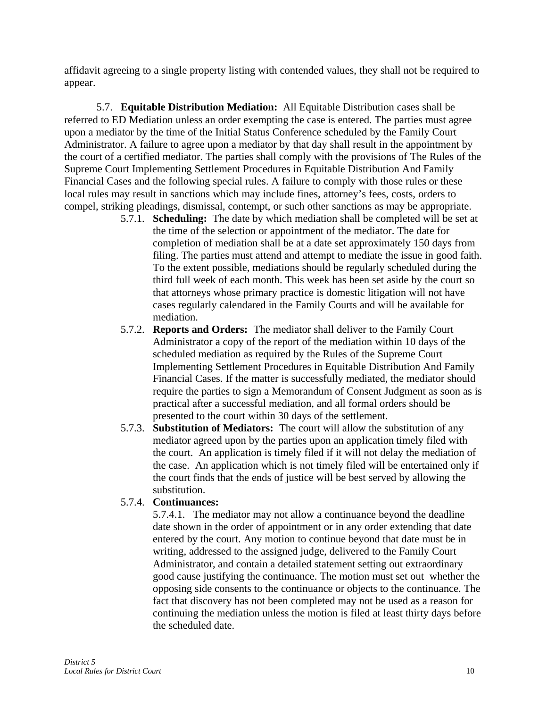affidavit agreeing to a single property listing with contended values, they shall not be required to appear.

5.7. **Equitable Distribution Mediation:** All Equitable Distribution cases shall be referred to ED Mediation unless an order exempting the case is entered. The parties must agree upon a mediator by the time of the Initial Status Conference scheduled by the Family Court Administrator. A failure to agree upon a mediator by that day shall result in the appointment by the court of a certified mediator. The parties shall comply with the provisions of The Rules of the Supreme Court Implementing Settlement Procedures in Equitable Distribution And Family Financial Cases and the following special rules. A failure to comply with those rules or these local rules may result in sanctions which may include fines, attorney's fees, costs, orders to compel, striking pleadings, dismissal, contempt, or such other sanctions as may be appropriate.

- 5.7.1. **Scheduling:** The date by which mediation shall be completed will be set at the time of the selection or appointment of the mediator. The date for completion of mediation shall be at a date set approximately 150 days from filing. The parties must attend and attempt to mediate the issue in good faith. To the extent possible, mediations should be regularly scheduled during the third full week of each month. This week has been set aside by the court so that attorneys whose primary practice is domestic litigation will not have cases regularly calendared in the Family Courts and will be available for mediation.
- 5.7.2. **Reports and Orders:** The mediator shall deliver to the Family Court Administrator a copy of the report of the mediation within 10 days of the scheduled mediation as required by the Rules of the Supreme Court Implementing Settlement Procedures in Equitable Distribution And Family Financial Cases. If the matter is successfully mediated, the mediator should require the parties to sign a Memorandum of Consent Judgment as soon as is practical after a successful mediation, and all formal orders should be presented to the court within 30 days of the settlement.
- 5.7.3. **Substitution of Mediators:** The court will allow the substitution of any mediator agreed upon by the parties upon an application timely filed with the court. An application is timely filed if it will not delay the mediation of the case. An application which is not timely filed will be entertained only if the court finds that the ends of justice will be best served by allowing the substitution.

#### 5.7.4. **Continuances:**

5.7.4.1. The mediator may not allow a continuance beyond the deadline date shown in the order of appointment or in any order extending that date entered by the court. Any motion to continue beyond that date must be in writing, addressed to the assigned judge, delivered to the Family Court Administrator, and contain a detailed statement setting out extraordinary good cause justifying the continuance. The motion must set out whether the opposing side consents to the continuance or objects to the continuance. The fact that discovery has not been completed may not be used as a reason for continuing the mediation unless the motion is filed at least thirty days before the scheduled date.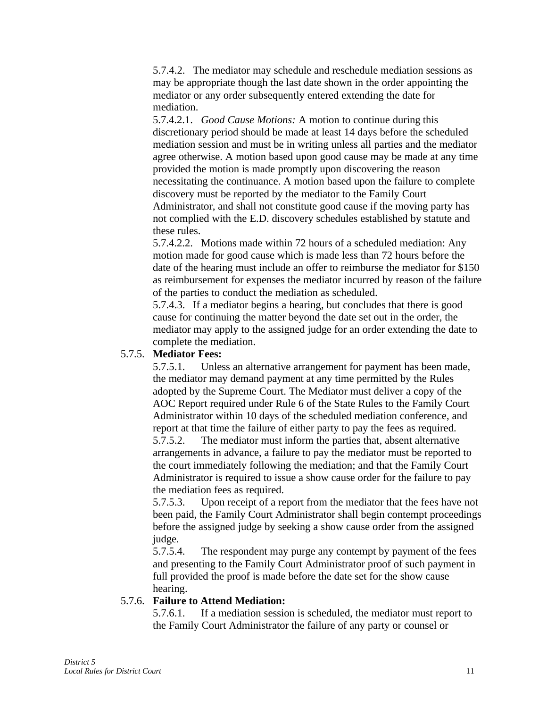5.7.4.2. The mediator may schedule and reschedule mediation sessions as may be appropriate though the last date shown in the order appointing the mediator or any order subsequently entered extending the date for mediation.

5.7.4.2.1. *Good Cause Motions:* A motion to continue during this discretionary period should be made at least 14 days before the scheduled mediation session and must be in writing unless all parties and the mediator agree otherwise. A motion based upon good cause may be made at any time provided the motion is made promptly upon discovering the reason necessitating the continuance. A motion based upon the failure to complete discovery must be reported by the mediator to the Family Court Administrator, and shall not constitute good cause if the moving party has not complied with the E.D. discovery schedules established by statute and these rules.

5.7.4.2.2. Motions made within 72 hours of a scheduled mediation: Any motion made for good cause which is made less than 72 hours before the date of the hearing must include an offer to reimburse the mediator for \$150 as reimbursement for expenses the mediator incurred by reason of the failure of the parties to conduct the mediation as scheduled.

5.7.4.3. If a mediator begins a hearing, but concludes that there is good cause for continuing the matter beyond the date set out in the order, the mediator may apply to the assigned judge for an order extending the date to complete the mediation.

#### 5.7.5. **Mediator Fees:**

5.7.5.1. Unless an alternative arrangement for payment has been made, the mediator may demand payment at any time permitted by the Rules adopted by the Supreme Court. The Mediator must deliver a copy of the AOC Report required under Rule 6 of the State Rules to the Family Court Administrator within 10 days of the scheduled mediation conference, and report at that time the failure of either party to pay the fees as required. 5.7.5.2. The mediator must inform the parties that, absent alternative arrangements in advance, a failure to pay the mediator must be reported to the court immediately following the mediation; and that the Family Court Administrator is required to issue a show cause order for the failure to pay the mediation fees as required.

5.7.5.3. Upon receipt of a report from the mediator that the fees have not been paid, the Family Court Administrator shall begin contempt proceedings before the assigned judge by seeking a show cause order from the assigned judge.

5.7.5.4. The respondent may purge any contempt by payment of the fees and presenting to the Family Court Administrator proof of such payment in full provided the proof is made before the date set for the show cause hearing.

#### 5.7.6. **Failure to Attend Mediation:**

5.7.6.1. If a mediation session is scheduled, the mediator must report to the Family Court Administrator the failure of any party or counsel or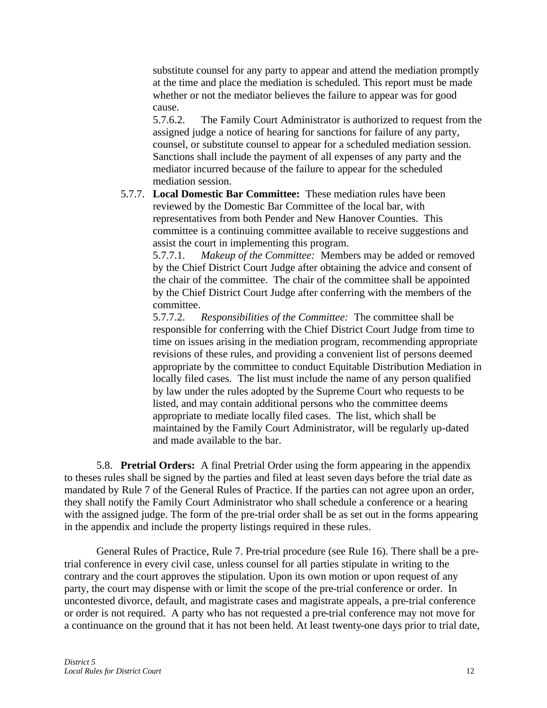substitute counsel for any party to appear and attend the mediation promptly at the time and place the mediation is scheduled. This report must be made whether or not the mediator believes the failure to appear was for good cause.

5.7.6.2. The Family Court Administrator is authorized to request from the assigned judge a notice of hearing for sanctions for failure of any party, counsel, or substitute counsel to appear for a scheduled mediation session. Sanctions shall include the payment of all expenses of any party and the mediator incurred because of the failure to appear for the scheduled mediation session.

5.7.7. **Local Domestic Bar Committee:** These mediation rules have been reviewed by the Domestic Bar Committee of the local bar, with representatives from both Pender and New Hanover Counties. This committee is a continuing committee available to receive suggestions and assist the court in implementing this program.

5.7.7.1. *Makeup of the Committee:* Members may be added or removed by the Chief District Court Judge after obtaining the advice and consent of the chair of the committee. The chair of the committee shall be appointed by the Chief District Court Judge after conferring with the members of the committee.

5.7.7.2. *Responsibilities of the Committee:* The committee shall be responsible for conferring with the Chief District Court Judge from time to time on issues arising in the mediation program, recommending appropriate revisions of these rules, and providing a convenient list of persons deemed appropriate by the committee to conduct Equitable Distribution Mediation in locally filed cases. The list must include the name of any person qualified by law under the rules adopted by the Supreme Court who requests to be listed, and may contain additional persons who the committee deems appropriate to mediate locally filed cases. The list, which shall be maintained by the Family Court Administrator, will be regularly up-dated and made available to the bar.

5.8. **Pretrial Orders:** A final Pretrial Order using the form appearing in the appendix to theses rules shall be signed by the parties and filed at least seven days before the trial date as mandated by Rule 7 of the General Rules of Practice. If the parties can not agree upon an order, they shall notify the Family Court Administrator who shall schedule a conference or a hearing with the assigned judge. The form of the pre-trial order shall be as set out in the forms appearing in the appendix and include the property listings required in these rules.

General Rules of Practice, Rule 7. Pre-trial procedure (see Rule 16). There shall be a pretrial conference in every civil case, unless counsel for all parties stipulate in writing to the contrary and the court approves the stipulation. Upon its own motion or upon request of any party, the court may dispense with or limit the scope of the pre-trial conference or order. In uncontested divorce, default, and magistrate cases and magistrate appeals, a pre-trial conference or order is not required. A party who has not requested a pre-trial conference may not move for a continuance on the ground that it has not been held. At least twenty-one days prior to trial date,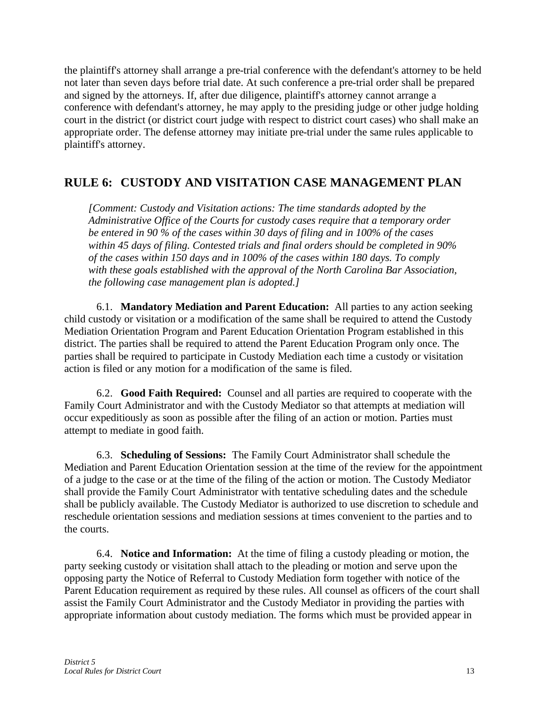the plaintiff's attorney shall arrange a pre-trial conference with the defendant's attorney to be held not later than seven days before trial date. At such conference a pre-trial order shall be prepared and signed by the attorneys. If, after due diligence, plaintiff's attorney cannot arrange a conference with defendant's attorney, he may apply to the presiding judge or other judge holding court in the district (or district court judge with respect to district court cases) who shall make an appropriate order. The defense attorney may initiate pre-trial under the same rules applicable to plaintiff's attorney.

### **RULE 6: CUSTODY AND VISITATION CASE MANAGEMENT PLAN**

*[Comment: Custody and Visitation actions: The time standards adopted by the Administrative Office of the Courts for custody cases require that a temporary order be entered in 90 % of the cases within 30 days of filing and in 100% of the cases within 45 days of filing. Contested trials and final orders should be completed in 90% of the cases within 150 days and in 100% of the cases within 180 days. To comply with these goals established with the approval of the North Carolina Bar Association, the following case management plan is adopted.]*

6.1. **Mandatory Mediation and Parent Education:** All parties to any action seeking child custody or visitation or a modification of the same shall be required to attend the Custody Mediation Orientation Program and Parent Education Orientation Program established in this district. The parties shall be required to attend the Parent Education Program only once. The parties shall be required to participate in Custody Mediation each time a custody or visitation action is filed or any motion for a modification of the same is filed.

6.2. **Good Faith Required:** Counsel and all parties are required to cooperate with the Family Court Administrator and with the Custody Mediator so that attempts at mediation will occur expeditiously as soon as possible after the filing of an action or motion. Parties must attempt to mediate in good faith.

6.3. **Scheduling of Sessions:** The Family Court Administrator shall schedule the Mediation and Parent Education Orientation session at the time of the review for the appointment of a judge to the case or at the time of the filing of the action or motion. The Custody Mediator shall provide the Family Court Administrator with tentative scheduling dates and the schedule shall be publicly available. The Custody Mediator is authorized to use discretion to schedule and reschedule orientation sessions and mediation sessions at times convenient to the parties and to the courts.

6.4. **Notice and Information:** At the time of filing a custody pleading or motion, the party seeking custody or visitation shall attach to the pleading or motion and serve upon the opposing party the Notice of Referral to Custody Mediation form together with notice of the Parent Education requirement as required by these rules. All counsel as officers of the court shall assist the Family Court Administrator and the Custody Mediator in providing the parties with appropriate information about custody mediation. The forms which must be provided appear in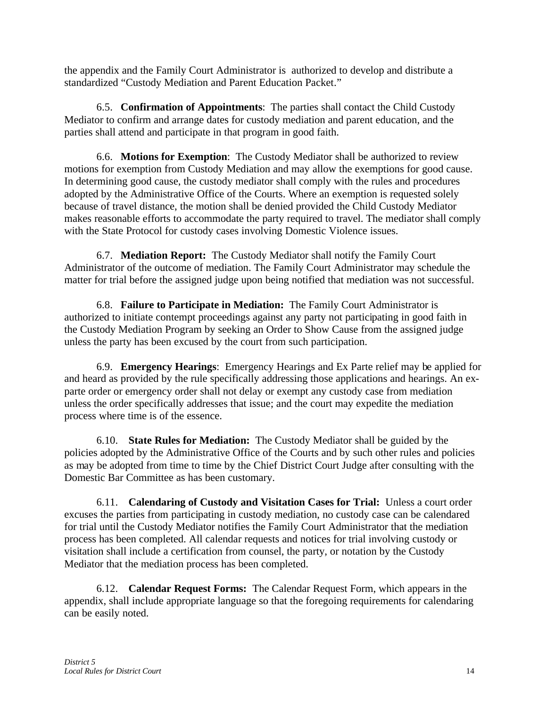the appendix and the Family Court Administrator is authorized to develop and distribute a standardized "Custody Mediation and Parent Education Packet."

6.5. **Confirmation of Appointments**: The parties shall contact the Child Custody Mediator to confirm and arrange dates for custody mediation and parent education, and the parties shall attend and participate in that program in good faith.

6.6. **Motions for Exemption**: The Custody Mediator shall be authorized to review motions for exemption from Custody Mediation and may allow the exemptions for good cause. In determining good cause, the custody mediator shall comply with the rules and procedures adopted by the Administrative Office of the Courts. Where an exemption is requested solely because of travel distance, the motion shall be denied provided the Child Custody Mediator makes reasonable efforts to accommodate the party required to travel. The mediator shall comply with the State Protocol for custody cases involving Domestic Violence issues.

6.7. **Mediation Report:** The Custody Mediator shall notify the Family Court Administrator of the outcome of mediation. The Family Court Administrator may schedule the matter for trial before the assigned judge upon being notified that mediation was not successful.

6.8. **Failure to Participate in Mediation:** The Family Court Administrator is authorized to initiate contempt proceedings against any party not participating in good faith in the Custody Mediation Program by seeking an Order to Show Cause from the assigned judge unless the party has been excused by the court from such participation.

6.9. **Emergency Hearings**: Emergency Hearings and Ex Parte relief may be applied for and heard as provided by the rule specifically addressing those applications and hearings. An exparte order or emergency order shall not delay or exempt any custody case from mediation unless the order specifically addresses that issue; and the court may expedite the mediation process where time is of the essence.

6.10. **State Rules for Mediation:** The Custody Mediator shall be guided by the policies adopted by the Administrative Office of the Courts and by such other rules and policies as may be adopted from time to time by the Chief District Court Judge after consulting with the Domestic Bar Committee as has been customary.

6.11. **Calendaring of Custody and Visitation Cases for Trial:** Unless a court order excuses the parties from participating in custody mediation, no custody case can be calendared for trial until the Custody Mediator notifies the Family Court Administrator that the mediation process has been completed. All calendar requests and notices for trial involving custody or visitation shall include a certification from counsel, the party, or notation by the Custody Mediator that the mediation process has been completed.

6.12. **Calendar Request Forms:** The Calendar Request Form, which appears in the appendix, shall include appropriate language so that the foregoing requirements for calendaring can be easily noted.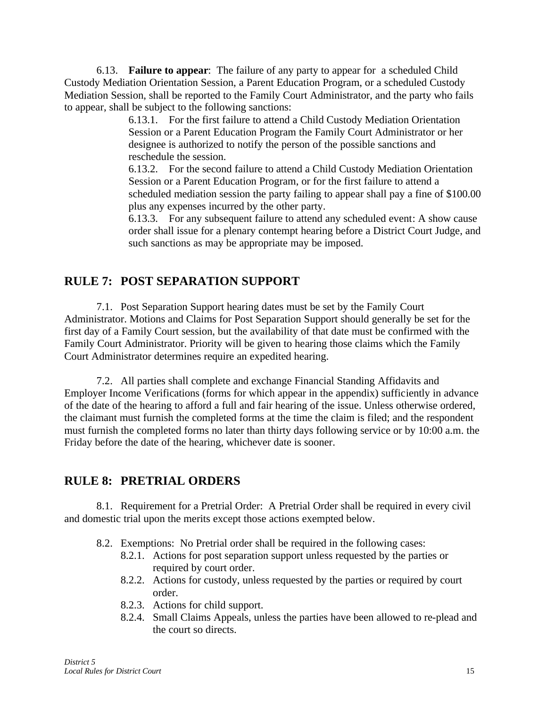6.13. **Failure to appear**: The failure of any party to appear for a scheduled Child Custody Mediation Orientation Session, a Parent Education Program, or a scheduled Custody Mediation Session, shall be reported to the Family Court Administrator, and the party who fails to appear, shall be subject to the following sanctions:

> 6.13.1. For the first failure to attend a Child Custody Mediation Orientation Session or a Parent Education Program the Family Court Administrator or her designee is authorized to notify the person of the possible sanctions and reschedule the session.

6.13.2. For the second failure to attend a Child Custody Mediation Orientation Session or a Parent Education Program, or for the first failure to attend a scheduled mediation session the party failing to appear shall pay a fine of \$100.00 plus any expenses incurred by the other party.

6.13.3. For any subsequent failure to attend any scheduled event: A show cause order shall issue for a plenary contempt hearing before a District Court Judge, and such sanctions as may be appropriate may be imposed.

# **RULE 7: POST SEPARATION SUPPORT**

7.1. Post Separation Support hearing dates must be set by the Family Court Administrator. Motions and Claims for Post Separation Support should generally be set for the first day of a Family Court session, but the availability of that date must be confirmed with the Family Court Administrator. Priority will be given to hearing those claims which the Family Court Administrator determines require an expedited hearing.

7.2. All parties shall complete and exchange Financial Standing Affidavits and Employer Income Verifications (forms for which appear in the appendix) sufficiently in advance of the date of the hearing to afford a full and fair hearing of the issue. Unless otherwise ordered, the claimant must furnish the completed forms at the time the claim is filed; and the respondent must furnish the completed forms no later than thirty days following service or by 10:00 a.m. the Friday before the date of the hearing, whichever date is sooner.

# **RULE 8: PRETRIAL ORDERS**

8.1. Requirement for a Pretrial Order: A Pretrial Order shall be required in every civil and domestic trial upon the merits except those actions exempted below.

- 8.2. Exemptions: No Pretrial order shall be required in the following cases:
	- 8.2.1. Actions for post separation support unless requested by the parties or required by court order.
	- 8.2.2. Actions for custody, unless requested by the parties or required by court order.
	- 8.2.3. Actions for child support.
	- 8.2.4. Small Claims Appeals, unless the parties have been allowed to re-plead and the court so directs.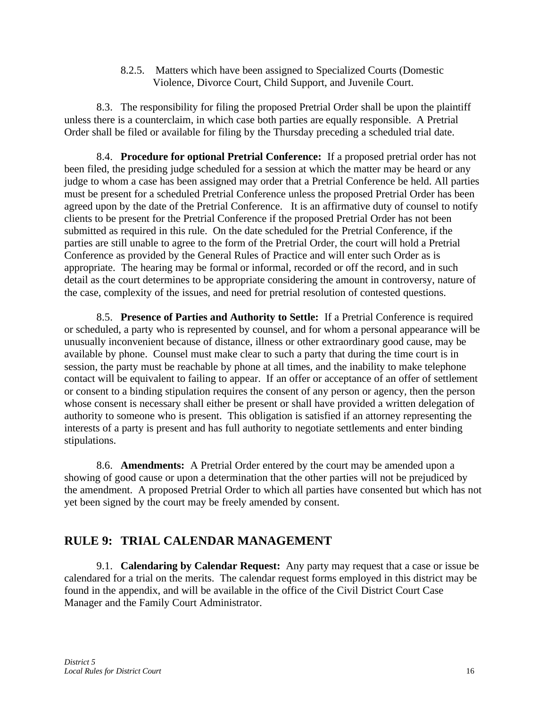8.2.5. Matters which have been assigned to Specialized Courts (Domestic Violence, Divorce Court, Child Support, and Juvenile Court.

8.3. The responsibility for filing the proposed Pretrial Order shall be upon the plaintiff unless there is a counterclaim, in which case both parties are equally responsible. A Pretrial Order shall be filed or available for filing by the Thursday preceding a scheduled trial date.

8.4. **Procedure for optional Pretrial Conference:** If a proposed pretrial order has not been filed, the presiding judge scheduled for a session at which the matter may be heard or any judge to whom a case has been assigned may order that a Pretrial Conference be held. All parties must be present for a scheduled Pretrial Conference unless the proposed Pretrial Order has been agreed upon by the date of the Pretrial Conference. It is an affirmative duty of counsel to notify clients to be present for the Pretrial Conference if the proposed Pretrial Order has not been submitted as required in this rule. On the date scheduled for the Pretrial Conference, if the parties are still unable to agree to the form of the Pretrial Order, the court will hold a Pretrial Conference as provided by the General Rules of Practice and will enter such Order as is appropriate. The hearing may be formal or informal, recorded or off the record, and in such detail as the court determines to be appropriate considering the amount in controversy, nature of the case, complexity of the issues, and need for pretrial resolution of contested questions.

8.5. **Presence of Parties and Authority to Settle:** If a Pretrial Conference is required or scheduled, a party who is represented by counsel, and for whom a personal appearance will be unusually inconvenient because of distance, illness or other extraordinary good cause, may be available by phone. Counsel must make clear to such a party that during the time court is in session, the party must be reachable by phone at all times, and the inability to make telephone contact will be equivalent to failing to appear. If an offer or acceptance of an offer of settlement or consent to a binding stipulation requires the consent of any person or agency, then the person whose consent is necessary shall either be present or shall have provided a written delegation of authority to someone who is present. This obligation is satisfied if an attorney representing the interests of a party is present and has full authority to negotiate settlements and enter binding stipulations.

8.6. **Amendments:** A Pretrial Order entered by the court may be amended upon a showing of good cause or upon a determination that the other parties will not be prejudiced by the amendment. A proposed Pretrial Order to which all parties have consented but which has not yet been signed by the court may be freely amended by consent.

# **RULE 9: TRIAL CALENDAR MANAGEMENT**

9.1. **Calendaring by Calendar Request:** Any party may request that a case or issue be calendared for a trial on the merits. The calendar request forms employed in this district may be found in the appendix, and will be available in the office of the Civil District Court Case Manager and the Family Court Administrator.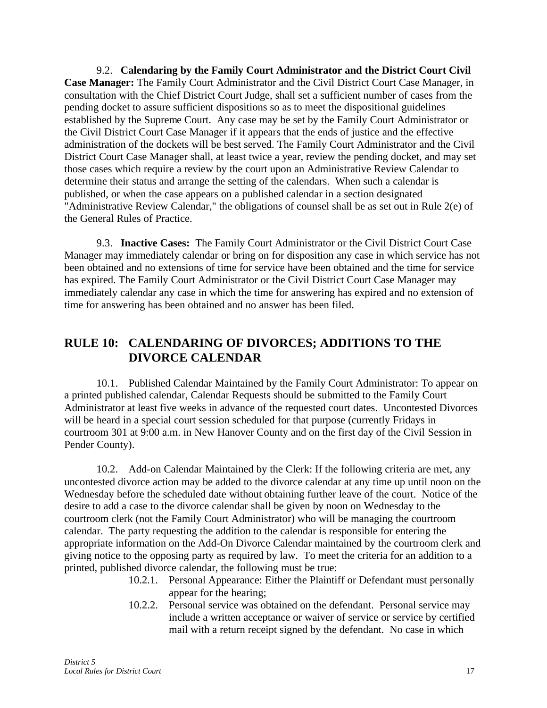9.2. **Calendaring by the Family Court Administrator and the District Court Civil Case Manager:** The Family Court Administrator and the Civil District Court Case Manager, in consultation with the Chief District Court Judge, shall set a sufficient number of cases from the pending docket to assure sufficient dispositions so as to meet the dispositional guidelines established by the Supreme Court. Any case may be set by the Family Court Administrator or the Civil District Court Case Manager if it appears that the ends of justice and the effective administration of the dockets will be best served. The Family Court Administrator and the Civil District Court Case Manager shall, at least twice a year, review the pending docket, and may set those cases which require a review by the court upon an Administrative Review Calendar to determine their status and arrange the setting of the calendars. When such a calendar is published, or when the case appears on a published calendar in a section designated "Administrative Review Calendar," the obligations of counsel shall be as set out in Rule 2(e) of the General Rules of Practice.

9.3. **Inactive Cases:** The Family Court Administrator or the Civil District Court Case Manager may immediately calendar or bring on for disposition any case in which service has not been obtained and no extensions of time for service have been obtained and the time for service has expired. The Family Court Administrator or the Civil District Court Case Manager may immediately calendar any case in which the time for answering has expired and no extension of time for answering has been obtained and no answer has been filed.

# **RULE 10: CALENDARING OF DIVORCES; ADDITIONS TO THE DIVORCE CALENDAR**

10.1. Published Calendar Maintained by the Family Court Administrator: To appear on a printed published calendar, Calendar Requests should be submitted to the Family Court Administrator at least five weeks in advance of the requested court dates. Uncontested Divorces will be heard in a special court session scheduled for that purpose (currently Fridays in courtroom 301 at 9:00 a.m. in New Hanover County and on the first day of the Civil Session in Pender County).

10.2. Add-on Calendar Maintained by the Clerk: If the following criteria are met, any uncontested divorce action may be added to the divorce calendar at any time up until noon on the Wednesday before the scheduled date without obtaining further leave of the court. Notice of the desire to add a case to the divorce calendar shall be given by noon on Wednesday to the courtroom clerk (not the Family Court Administrator) who will be managing the courtroom calendar. The party requesting the addition to the calendar is responsible for entering the appropriate information on the Add-On Divorce Calendar maintained by the courtroom clerk and giving notice to the opposing party as required by law. To meet the criteria for an addition to a printed, published divorce calendar, the following must be true:

- 10.2.1. Personal Appearance: Either the Plaintiff or Defendant must personally appear for the hearing;
- 10.2.2. Personal service was obtained on the defendant. Personal service may include a written acceptance or waiver of service or service by certified mail with a return receipt signed by the defendant. No case in which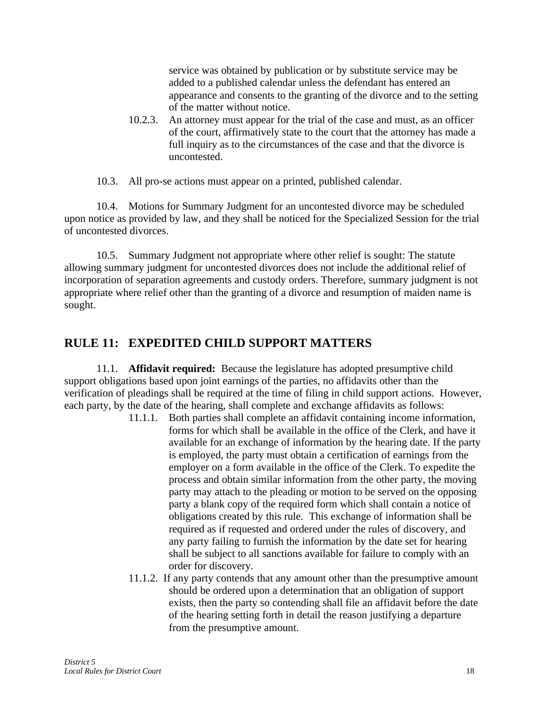service was obtained by publication or by substitute service may be added to a published calendar unless the defendant has entered an appearance and consents to the granting of the divorce and to the setting of the matter without notice.

10.2.3. An attorney must appear for the trial of the case and must, as an officer of the court, affirmatively state to the court that the attorney has made a full inquiry as to the circumstances of the case and that the divorce is uncontested.

10.3. All pro-se actions must appear on a printed, published calendar.

10.4. Motions for Summary Judgment for an uncontested divorce may be scheduled upon notice as provided by law, and they shall be noticed for the Specialized Session for the trial of uncontested divorces.

10.5. Summary Judgment not appropriate where other relief is sought: The statute allowing summary judgment for uncontested divorces does not include the additional relief of incorporation of separation agreements and custody orders. Therefore, summary judgment is not appropriate where relief other than the granting of a divorce and resumption of maiden name is sought.

# **RULE 11: EXPEDITED CHILD SUPPORT MATTERS**

11.1. **Affidavit required:** Because the legislature has adopted presumptive child support obligations based upon joint earnings of the parties, no affidavits other than the verification of pleadings shall be required at the time of filing in child support actions. However, each party, by the date of the hearing, shall complete and exchange affidavits as follows:

- 11.1.1. Both parties shall complete an affidavit containing income information, forms for which shall be available in the office of the Clerk, and have it available for an exchange of information by the hearing date. If the party is employed, the party must obtain a certification of earnings from the employer on a form available in the office of the Clerk. To expedite the process and obtain similar information from the other party, the moving party may attach to the pleading or motion to be served on the opposing party a blank copy of the required form which shall contain a notice of obligations created by this rule. This exchange of information shall be required as if requested and ordered under the rules of discovery, and any party failing to furnish the information by the date set for hearing shall be subject to all sanctions available for failure to comply with an order for discovery.
- 11.1.2. If any party contends that any amount other than the presumptive amount should be ordered upon a determination that an obligation of support exists, then the party so contending shall file an affidavit before the date of the hearing setting forth in detail the reason justifying a departure from the presumptive amount.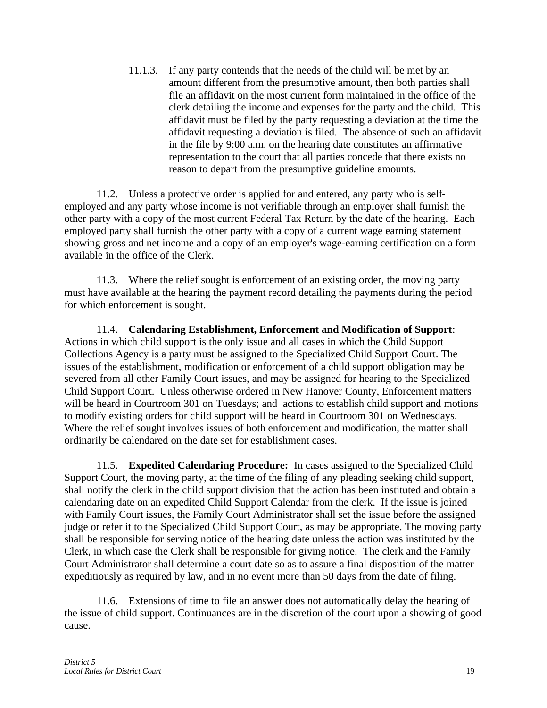11.1.3. If any party contends that the needs of the child will be met by an amount different from the presumptive amount, then both parties shall file an affidavit on the most current form maintained in the office of the clerk detailing the income and expenses for the party and the child. This affidavit must be filed by the party requesting a deviation at the time the affidavit requesting a deviation is filed. The absence of such an affidavit in the file by 9:00 a.m. on the hearing date constitutes an affirmative representation to the court that all parties concede that there exists no reason to depart from the presumptive guideline amounts.

11.2. Unless a protective order is applied for and entered, any party who is selfemployed and any party whose income is not verifiable through an employer shall furnish the other party with a copy of the most current Federal Tax Return by the date of the hearing. Each employed party shall furnish the other party with a copy of a current wage earning statement showing gross and net income and a copy of an employer's wage-earning certification on a form available in the office of the Clerk.

11.3. Where the relief sought is enforcement of an existing order, the moving party must have available at the hearing the payment record detailing the payments during the period for which enforcement is sought.

11.4. **Calendaring Establishment, Enforcement and Modification of Support**: Actions in which child support is the only issue and all cases in which the Child Support Collections Agency is a party must be assigned to the Specialized Child Support Court. The issues of the establishment, modification or enforcement of a child support obligation may be severed from all other Family Court issues, and may be assigned for hearing to the Specialized Child Support Court. Unless otherwise ordered in New Hanover County, Enforcement matters will be heard in Courtroom 301 on Tuesdays; and actions to establish child support and motions to modify existing orders for child support will be heard in Courtroom 301 on Wednesdays. Where the relief sought involves issues of both enforcement and modification, the matter shall ordinarily be calendared on the date set for establishment cases.

11.5. **Expedited Calendaring Procedure:** In cases assigned to the Specialized Child Support Court, the moving party, at the time of the filing of any pleading seeking child support, shall notify the clerk in the child support division that the action has been instituted and obtain a calendaring date on an expedited Child Support Calendar from the clerk. If the issue is joined with Family Court issues, the Family Court Administrator shall set the issue before the assigned judge or refer it to the Specialized Child Support Court, as may be appropriate. The moving party shall be responsible for serving notice of the hearing date unless the action was instituted by the Clerk, in which case the Clerk shall be responsible for giving notice. The clerk and the Family Court Administrator shall determine a court date so as to assure a final disposition of the matter expeditiously as required by law, and in no event more than 50 days from the date of filing.

11.6. Extensions of time to file an answer does not automatically delay the hearing of the issue of child support. Continuances are in the discretion of the court upon a showing of good cause.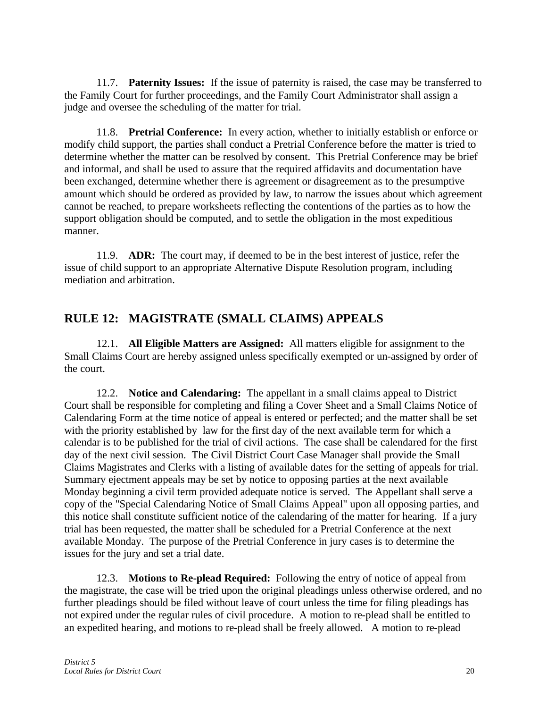11.7. **Paternity Issues:** If the issue of paternity is raised, the case may be transferred to the Family Court for further proceedings, and the Family Court Administrator shall assign a judge and oversee the scheduling of the matter for trial.

11.8. **Pretrial Conference:** In every action, whether to initially establish or enforce or modify child support, the parties shall conduct a Pretrial Conference before the matter is tried to determine whether the matter can be resolved by consent. This Pretrial Conference may be brief and informal, and shall be used to assure that the required affidavits and documentation have been exchanged, determine whether there is agreement or disagreement as to the presumptive amount which should be ordered as provided by law, to narrow the issues about which agreement cannot be reached, to prepare worksheets reflecting the contentions of the parties as to how the support obligation should be computed, and to settle the obligation in the most expeditious manner.

11.9. **ADR:** The court may, if deemed to be in the best interest of justice, refer the issue of child support to an appropriate Alternative Dispute Resolution program, including mediation and arbitration.

# **RULE 12: MAGISTRATE (SMALL CLAIMS) APPEALS**

12.1. **All Eligible Matters are Assigned:** All matters eligible for assignment to the Small Claims Court are hereby assigned unless specifically exempted or un-assigned by order of the court.

12.2. **Notice and Calendaring:** The appellant in a small claims appeal to District Court shall be responsible for completing and filing a Cover Sheet and a Small Claims Notice of Calendaring Form at the time notice of appeal is entered or perfected; and the matter shall be set with the priority established by law for the first day of the next available term for which a calendar is to be published for the trial of civil actions. The case shall be calendared for the first day of the next civil session. The Civil District Court Case Manager shall provide the Small Claims Magistrates and Clerks with a listing of available dates for the setting of appeals for trial. Summary ejectment appeals may be set by notice to opposing parties at the next available Monday beginning a civil term provided adequate notice is served. The Appellant shall serve a copy of the "Special Calendaring Notice of Small Claims Appeal" upon all opposing parties, and this notice shall constitute sufficient notice of the calendaring of the matter for hearing. If a jury trial has been requested, the matter shall be scheduled for a Pretrial Conference at the next available Monday. The purpose of the Pretrial Conference in jury cases is to determine the issues for the jury and set a trial date.

12.3. **Motions to Re-plead Required:** Following the entry of notice of appeal from the magistrate, the case will be tried upon the original pleadings unless otherwise ordered, and no further pleadings should be filed without leave of court unless the time for filing pleadings has not expired under the regular rules of civil procedure. A motion to re-plead shall be entitled to an expedited hearing, and motions to re-plead shall be freely allowed. A motion to re-plead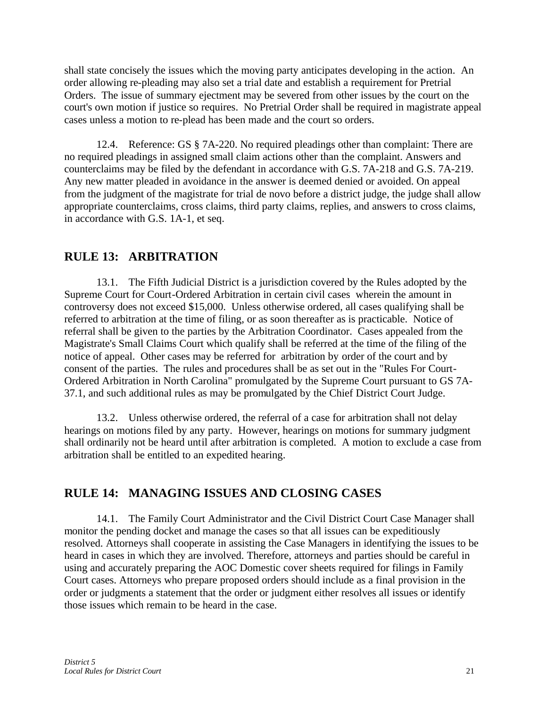shall state concisely the issues which the moving party anticipates developing in the action. An order allowing re-pleading may also set a trial date and establish a requirement for Pretrial Orders. The issue of summary ejectment may be severed from other issues by the court on the court's own motion if justice so requires. No Pretrial Order shall be required in magistrate appeal cases unless a motion to re-plead has been made and the court so orders.

12.4. Reference: GS § 7A-220. No required pleadings other than complaint: There are no required pleadings in assigned small claim actions other than the complaint. Answers and counterclaims may be filed by the defendant in accordance with G.S. 7A-218 and G.S. 7A-219. Any new matter pleaded in avoidance in the answer is deemed denied or avoided. On appeal from the judgment of the magistrate for trial de novo before a district judge, the judge shall allow appropriate counterclaims, cross claims, third party claims, replies, and answers to cross claims, in accordance with G.S. 1A-1, et seq.

### **RULE 13: ARBITRATION**

13.1. The Fifth Judicial District is a jurisdiction covered by the Rules adopted by the Supreme Court for Court-Ordered Arbitration in certain civil cases wherein the amount in controversy does not exceed \$15,000. Unless otherwise ordered, all cases qualifying shall be referred to arbitration at the time of filing, or as soon thereafter as is practicable. Notice of referral shall be given to the parties by the Arbitration Coordinator. Cases appealed from the Magistrate's Small Claims Court which qualify shall be referred at the time of the filing of the notice of appeal. Other cases may be referred for arbitration by order of the court and by consent of the parties. The rules and procedures shall be as set out in the "Rules For Court-Ordered Arbitration in North Carolina" promulgated by the Supreme Court pursuant to GS 7A-37.1, and such additional rules as may be promulgated by the Chief District Court Judge.

13.2. Unless otherwise ordered, the referral of a case for arbitration shall not delay hearings on motions filed by any party. However, hearings on motions for summary judgment shall ordinarily not be heard until after arbitration is completed. A motion to exclude a case from arbitration shall be entitled to an expedited hearing.

# **RULE 14: MANAGING ISSUES AND CLOSING CASES**

14.1. The Family Court Administrator and the Civil District Court Case Manager shall monitor the pending docket and manage the cases so that all issues can be expeditiously resolved. Attorneys shall cooperate in assisting the Case Managers in identifying the issues to be heard in cases in which they are involved. Therefore, attorneys and parties should be careful in using and accurately preparing the AOC Domestic cover sheets required for filings in Family Court cases. Attorneys who prepare proposed orders should include as a final provision in the order or judgments a statement that the order or judgment either resolves all issues or identify those issues which remain to be heard in the case.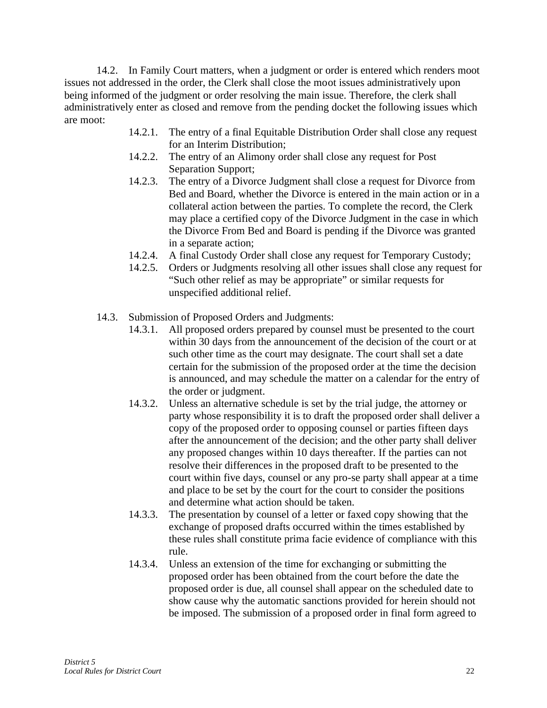14.2. In Family Court matters, when a judgment or order is entered which renders moot issues not addressed in the order, the Clerk shall close the moot issues administratively upon being informed of the judgment or order resolving the main issue. Therefore, the clerk shall administratively enter as closed and remove from the pending docket the following issues which are moot:

- 14.2.1. The entry of a final Equitable Distribution Order shall close any request for an Interim Distribution;
- 14.2.2. The entry of an Alimony order shall close any request for Post Separation Support;
- 14.2.3. The entry of a Divorce Judgment shall close a request for Divorce from Bed and Board, whether the Divorce is entered in the main action or in a collateral action between the parties. To complete the record, the Clerk may place a certified copy of the Divorce Judgment in the case in which the Divorce From Bed and Board is pending if the Divorce was granted in a separate action;
- 14.2.4. A final Custody Order shall close any request for Temporary Custody;
- 14.2.5. Orders or Judgments resolving all other issues shall close any request for "Such other relief as may be appropriate" or similar requests for unspecified additional relief.
- 14.3. Submission of Proposed Orders and Judgments:
	- 14.3.1. All proposed orders prepared by counsel must be presented to the court within 30 days from the announcement of the decision of the court or at such other time as the court may designate. The court shall set a date certain for the submission of the proposed order at the time the decision is announced, and may schedule the matter on a calendar for the entry of the order or judgment.
	- 14.3.2. Unless an alternative schedule is set by the trial judge, the attorney or party whose responsibility it is to draft the proposed order shall deliver a copy of the proposed order to opposing counsel or parties fifteen days after the announcement of the decision; and the other party shall deliver any proposed changes within 10 days thereafter. If the parties can not resolve their differences in the proposed draft to be presented to the court within five days, counsel or any pro-se party shall appear at a time and place to be set by the court for the court to consider the positions and determine what action should be taken.
	- 14.3.3. The presentation by counsel of a letter or faxed copy showing that the exchange of proposed drafts occurred within the times established by these rules shall constitute prima facie evidence of compliance with this rule.
	- 14.3.4. Unless an extension of the time for exchanging or submitting the proposed order has been obtained from the court before the date the proposed order is due, all counsel shall appear on the scheduled date to show cause why the automatic sanctions provided for herein should not be imposed. The submission of a proposed order in final form agreed to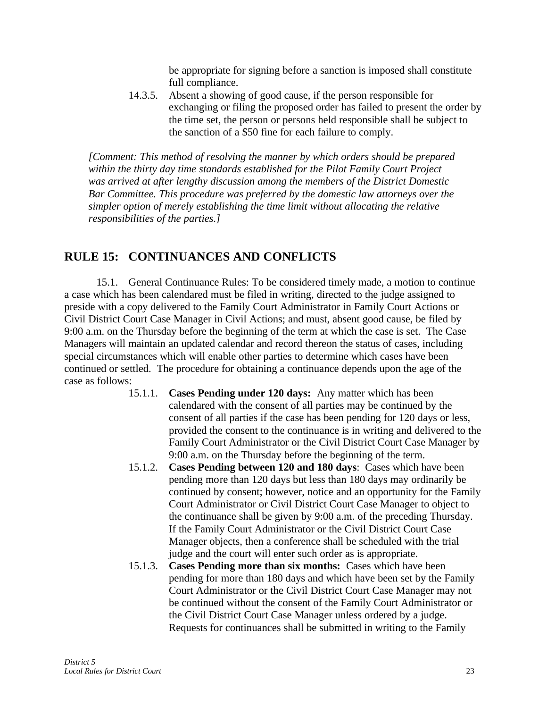be appropriate for signing before a sanction is imposed shall constitute full compliance.

14.3.5. Absent a showing of good cause, if the person responsible for exchanging or filing the proposed order has failed to present the order by the time set, the person or persons held responsible shall be subject to the sanction of a \$50 fine for each failure to comply.

*[Comment: This method of resolving the manner by which orders should be prepared within the thirty day time standards established for the Pilot Family Court Project was arrived at after lengthy discussion among the members of the District Domestic Bar Committee. This procedure was preferred by the domestic law attorneys over the simpler option of merely establishing the time limit without allocating the relative responsibilities of the parties.]*

# **RULE 15: CONTINUANCES AND CONFLICTS**

15.1. General Continuance Rules: To be considered timely made, a motion to continue a case which has been calendared must be filed in writing, directed to the judge assigned to preside with a copy delivered to the Family Court Administrator in Family Court Actions or Civil District Court Case Manager in Civil Actions; and must, absent good cause, be filed by 9:00 a.m. on the Thursday before the beginning of the term at which the case is set. The Case Managers will maintain an updated calendar and record thereon the status of cases, including special circumstances which will enable other parties to determine which cases have been continued or settled. The procedure for obtaining a continuance depends upon the age of the case as follows:

- 15.1.1. **Cases Pending under 120 days:** Any matter which has been calendared with the consent of all parties may be continued by the consent of all parties if the case has been pending for 120 days or less, provided the consent to the continuance is in writing and delivered to the Family Court Administrator or the Civil District Court Case Manager by 9:00 a.m. on the Thursday before the beginning of the term.
- 15.1.2. **Cases Pending between 120 and 180 days**: Cases which have been pending more than 120 days but less than 180 days may ordinarily be continued by consent; however, notice and an opportunity for the Family Court Administrator or Civil District Court Case Manager to object to the continuance shall be given by 9:00 a.m. of the preceding Thursday. If the Family Court Administrator or the Civil District Court Case Manager objects, then a conference shall be scheduled with the trial judge and the court will enter such order as is appropriate.
- 15.1.3. **Cases Pending more than six months:** Cases which have been pending for more than 180 days and which have been set by the Family Court Administrator or the Civil District Court Case Manager may not be continued without the consent of the Family Court Administrator or the Civil District Court Case Manager unless ordered by a judge. Requests for continuances shall be submitted in writing to the Family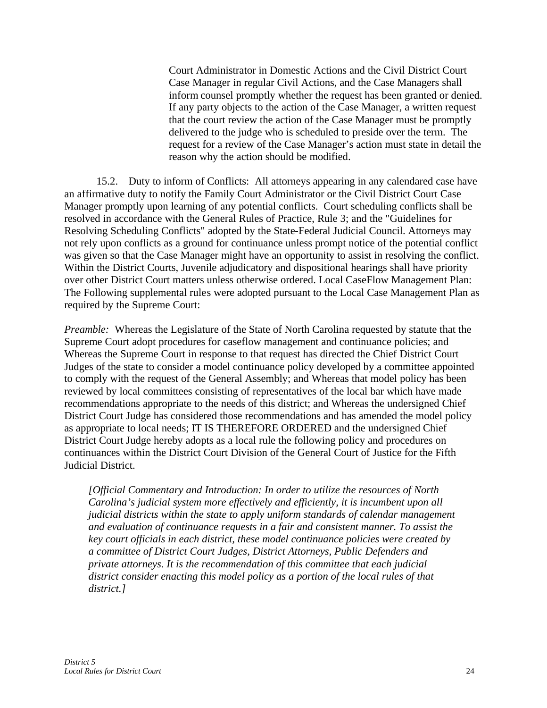Court Administrator in Domestic Actions and the Civil District Court Case Manager in regular Civil Actions, and the Case Managers shall inform counsel promptly whether the request has been granted or denied. If any party objects to the action of the Case Manager, a written request that the court review the action of the Case Manager must be promptly delivered to the judge who is scheduled to preside over the term. The request for a review of the Case Manager's action must state in detail the reason why the action should be modified.

15.2. Duty to inform of Conflicts: All attorneys appearing in any calendared case have an affirmative duty to notify the Family Court Administrator or the Civil District Court Case Manager promptly upon learning of any potential conflicts. Court scheduling conflicts shall be resolved in accordance with the General Rules of Practice, Rule 3; and the "Guidelines for Resolving Scheduling Conflicts" adopted by the State-Federal Judicial Council. Attorneys may not rely upon conflicts as a ground for continuance unless prompt notice of the potential conflict was given so that the Case Manager might have an opportunity to assist in resolving the conflict. Within the District Courts, Juvenile adjudicatory and dispositional hearings shall have priority over other District Court matters unless otherwise ordered. Local CaseFlow Management Plan: The Following supplemental rules were adopted pursuant to the Local Case Management Plan as required by the Supreme Court:

*Preamble:* Whereas the Legislature of the State of North Carolina requested by statute that the Supreme Court adopt procedures for caseflow management and continuance policies; and Whereas the Supreme Court in response to that request has directed the Chief District Court Judges of the state to consider a model continuance policy developed by a committee appointed to comply with the request of the General Assembly; and Whereas that model policy has been reviewed by local committees consisting of representatives of the local bar which have made recommendations appropriate to the needs of this district; and Whereas the undersigned Chief District Court Judge has considered those recommendations and has amended the model policy as appropriate to local needs; IT IS THEREFORE ORDERED and the undersigned Chief District Court Judge hereby adopts as a local rule the following policy and procedures on continuances within the District Court Division of the General Court of Justice for the Fifth Judicial District.

*[Official Commentary and Introduction: In order to utilize the resources of North Carolina's judicial system more effectively and efficiently, it is incumbent upon all judicial districts within the state to apply uniform standards of calendar management and evaluation of continuance requests in a fair and consistent manner. To assist the key court officials in each district, these model continuance policies were created by a committee of District Court Judges, District Attorneys, Public Defenders and private attorneys. It is the recommendation of this committee that each judicial district consider enacting this model policy as a portion of the local rules of that district.]*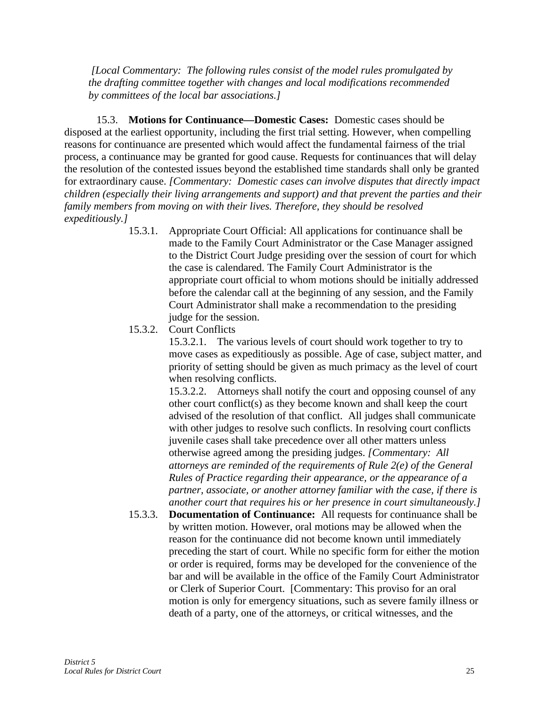*[Local Commentary: The following rules consist of the model rules promulgated by the drafting committee together with changes and local modifications recommended by committees of the local bar associations.]*

15.3. **Motions for Continuance—Domestic Cases:** Domestic cases should be disposed at the earliest opportunity, including the first trial setting. However, when compelling reasons for continuance are presented which would affect the fundamental fairness of the trial process, a continuance may be granted for good cause. Requests for continuances that will delay the resolution of the contested issues beyond the established time standards shall only be granted for extraordinary cause. *[Commentary: Domestic cases can involve disputes that directly impact children (especially their living arrangements and support) and that prevent the parties and their family members from moving on with their lives. Therefore, they should be resolved expeditiously.]*

- 15.3.1. Appropriate Court Official: All applications for continuance shall be made to the Family Court Administrator or the Case Manager assigned to the District Court Judge presiding over the session of court for which the case is calendared. The Family Court Administrator is the appropriate court official to whom motions should be initially addressed before the calendar call at the beginning of any session, and the Family Court Administrator shall make a recommendation to the presiding judge for the session.
- 15.3.2. Court Conflicts

15.3.2.1. The various levels of court should work together to try to move cases as expeditiously as possible. Age of case, subject matter, and priority of setting should be given as much primacy as the level of court when resolving conflicts.

15.3.2.2. Attorneys shall notify the court and opposing counsel of any other court conflict(s) as they become known and shall keep the court advised of the resolution of that conflict. All judges shall communicate with other judges to resolve such conflicts. In resolving court conflicts juvenile cases shall take precedence over all other matters unless otherwise agreed among the presiding judges. *[Commentary: All attorneys are reminded of the requirements of Rule 2(e) of the General Rules of Practice regarding their appearance, or the appearance of a partner, associate, or another attorney familiar with the case, if there is another court that requires his or her presence in court simultaneously.]*

15.3.3. **Documentation of Continuance:** All requests for continuance shall be by written motion. However, oral motions may be allowed when the reason for the continuance did not become known until immediately preceding the start of court. While no specific form for either the motion or order is required, forms may be developed for the convenience of the bar and will be available in the office of the Family Court Administrator or Clerk of Superior Court. [Commentary: This proviso for an oral motion is only for emergency situations, such as severe family illness or death of a party, one of the attorneys, or critical witnesses, and the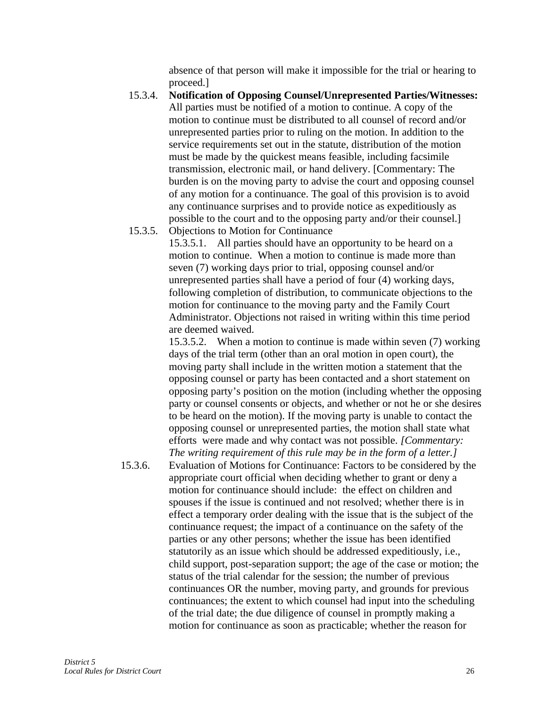absence of that person will make it impossible for the trial or hearing to proceed.]

- 15.3.4. **Notification of Opposing Counsel/Unrepresented Parties/Witnesses:** All parties must be notified of a motion to continue. A copy of the motion to continue must be distributed to all counsel of record and/or unrepresented parties prior to ruling on the motion. In addition to the service requirements set out in the statute, distribution of the motion must be made by the quickest means feasible, including facsimile transmission, electronic mail, or hand delivery. [Commentary: The burden is on the moving party to advise the court and opposing counsel of any motion for a continuance. The goal of this provision is to avoid any continuance surprises and to provide notice as expeditiously as possible to the court and to the opposing party and/or their counsel.]
- 15.3.5. Objections to Motion for Continuance

15.3.5.1. All parties should have an opportunity to be heard on a motion to continue. When a motion to continue is made more than seven (7) working days prior to trial, opposing counsel and/or unrepresented parties shall have a period of four (4) working days, following completion of distribution, to communicate objections to the motion for continuance to the moving party and the Family Court Administrator. Objections not raised in writing within this time period are deemed waived.

15.3.5.2. When a motion to continue is made within seven (7) working days of the trial term (other than an oral motion in open court), the moving party shall include in the written motion a statement that the opposing counsel or party has been contacted and a short statement on opposing party's position on the motion (including whether the opposing party or counsel consents or objects, and whether or not he or she desires to be heard on the motion). If the moving party is unable to contact the opposing counsel or unrepresented parties, the motion shall state what efforts were made and why contact was not possible. *[Commentary: The writing requirement of this rule may be in the form of a letter.]*

15.3.6. Evaluation of Motions for Continuance: Factors to be considered by the appropriate court official when deciding whether to grant or deny a motion for continuance should include: the effect on children and spouses if the issue is continued and not resolved; whether there is in effect a temporary order dealing with the issue that is the subject of the continuance request; the impact of a continuance on the safety of the parties or any other persons; whether the issue has been identified statutorily as an issue which should be addressed expeditiously, i.e., child support, post-separation support; the age of the case or motion; the status of the trial calendar for the session; the number of previous continuances OR the number, moving party, and grounds for previous continuances; the extent to which counsel had input into the scheduling of the trial date; the due diligence of counsel in promptly making a motion for continuance as soon as practicable; whether the reason for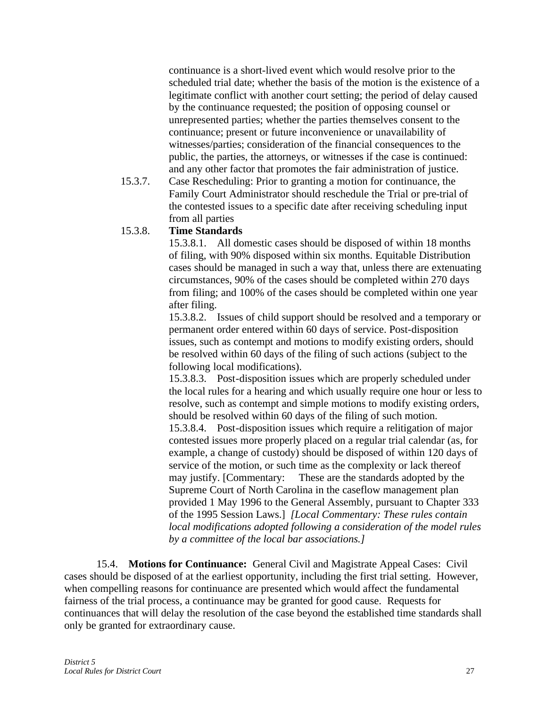continuance is a short-lived event which would resolve prior to the scheduled trial date; whether the basis of the motion is the existence of a legitimate conflict with another court setting; the period of delay caused by the continuance requested; the position of opposing counsel or unrepresented parties; whether the parties themselves consent to the continuance; present or future inconvenience or unavailability of witnesses/parties; consideration of the financial consequences to the public, the parties, the attorneys, or witnesses if the case is continued: and any other factor that promotes the fair administration of justice.

15.3.7. Case Rescheduling: Prior to granting a motion for continuance, the Family Court Administrator should reschedule the Trial or pre-trial of the contested issues to a specific date after receiving scheduling input from all parties

#### 15.3.8. **Time Standards**

15.3.8.1. All domestic cases should be disposed of within 18 months of filing, with 90% disposed within six months. Equitable Distribution cases should be managed in such a way that, unless there are extenuating circumstances, 90% of the cases should be completed within 270 days from filing; and 100% of the cases should be completed within one year after filing.

15.3.8.2. Issues of child support should be resolved and a temporary or permanent order entered within 60 days of service. Post-disposition issues, such as contempt and motions to modify existing orders, should be resolved within 60 days of the filing of such actions (subject to the following local modifications).

15.3.8.3. Post-disposition issues which are properly scheduled under the local rules for a hearing and which usually require one hour or less to resolve, such as contempt and simple motions to modify existing orders, should be resolved within 60 days of the filing of such motion. 15.3.8.4. Post-disposition issues which require a relitigation of major contested issues more properly placed on a regular trial calendar (as, for example, a change of custody) should be disposed of within 120 days of service of the motion, or such time as the complexity or lack thereof may justify. [Commentary: These are the standards adopted by the Supreme Court of North Carolina in the caseflow management plan provided 1 May 1996 to the General Assembly, pursuant to Chapter 333 of the 1995 Session Laws.] *[Local Commentary: These rules contain local modifications adopted following a consideration of the model rules by a committee of the local bar associations.]*

15.4. **Motions for Continuance:** General Civil and Magistrate Appeal Cases: Civil cases should be disposed of at the earliest opportunity, including the first trial setting. However, when compelling reasons for continuance are presented which would affect the fundamental fairness of the trial process, a continuance may be granted for good cause. Requests for continuances that will delay the resolution of the case beyond the established time standards shall only be granted for extraordinary cause.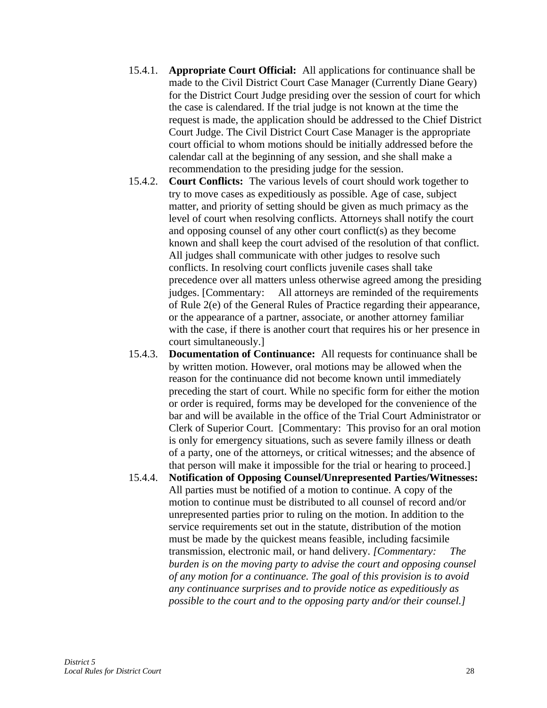- 15.4.1. **Appropriate Court Official:** All applications for continuance shall be made to the Civil District Court Case Manager (Currently Diane Geary) for the District Court Judge presiding over the session of court for which the case is calendared. If the trial judge is not known at the time the request is made, the application should be addressed to the Chief District Court Judge. The Civil District Court Case Manager is the appropriate court official to whom motions should be initially addressed before the calendar call at the beginning of any session, and she shall make a recommendation to the presiding judge for the session.
- 15.4.2. **Court Conflicts:** The various levels of court should work together to try to move cases as expeditiously as possible. Age of case, subject matter, and priority of setting should be given as much primacy as the level of court when resolving conflicts. Attorneys shall notify the court and opposing counsel of any other court conflict(s) as they become known and shall keep the court advised of the resolution of that conflict. All judges shall communicate with other judges to resolve such conflicts. In resolving court conflicts juvenile cases shall take precedence over all matters unless otherwise agreed among the presiding judges. [Commentary: All attorneys are reminded of the requirements of Rule 2(e) of the General Rules of Practice regarding their appearance, or the appearance of a partner, associate, or another attorney familiar with the case, if there is another court that requires his or her presence in court simultaneously.]
- 15.4.3. **Documentation of Continuance:** All requests for continuance shall be by written motion. However, oral motions may be allowed when the reason for the continuance did not become known until immediately preceding the start of court. While no specific form for either the motion or order is required, forms may be developed for the convenience of the bar and will be available in the office of the Trial Court Administrator or Clerk of Superior Court. [Commentary: This proviso for an oral motion is only for emergency situations, such as severe family illness or death of a party, one of the attorneys, or critical witnesses; and the absence of that person will make it impossible for the trial or hearing to proceed.]
- 15.4.4. **Notification of Opposing Counsel/Unrepresented Parties/Witnesses:** All parties must be notified of a motion to continue. A copy of the motion to continue must be distributed to all counsel of record and/or unrepresented parties prior to ruling on the motion. In addition to the service requirements set out in the statute, distribution of the motion must be made by the quickest means feasible, including facsimile transmission, electronic mail, or hand delivery. *[Commentary: The burden is on the moving party to advise the court and opposing counsel of any motion for a continuance. The goal of this provision is to avoid any continuance surprises and to provide notice as expeditiously as possible to the court and to the opposing party and/or their counsel.]*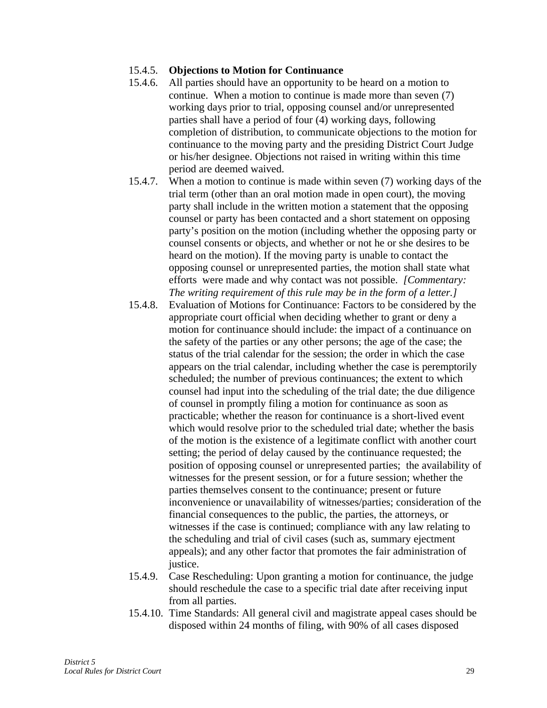#### 15.4.5. **Objections to Motion for Continuance**

- 15.4.6. All parties should have an opportunity to be heard on a motion to continue. When a motion to continue is made more than seven (7) working days prior to trial, opposing counsel and/or unrepresented parties shall have a period of four (4) working days, following completion of distribution, to communicate objections to the motion for continuance to the moving party and the presiding District Court Judge or his/her designee. Objections not raised in writing within this time period are deemed waived.
- 15.4.7. When a motion to continue is made within seven (7) working days of the trial term (other than an oral motion made in open court), the moving party shall include in the written motion a statement that the opposing counsel or party has been contacted and a short statement on opposing party's position on the motion (including whether the opposing party or counsel consents or objects, and whether or not he or she desires to be heard on the motion). If the moving party is unable to contact the opposing counsel or unrepresented parties, the motion shall state what efforts were made and why contact was not possible. *[Commentary: The writing requirement of this rule may be in the form of a letter.]*
- 15.4.8. Evaluation of Motions for Continuance: Factors to be considered by the appropriate court official when deciding whether to grant or deny a motion for continuance should include: the impact of a continuance on the safety of the parties or any other persons; the age of the case; the status of the trial calendar for the session; the order in which the case appears on the trial calendar, including whether the case is peremptorily scheduled; the number of previous continuances; the extent to which counsel had input into the scheduling of the trial date; the due diligence of counsel in promptly filing a motion for continuance as soon as practicable; whether the reason for continuance is a short-lived event which would resolve prior to the scheduled trial date; whether the basis of the motion is the existence of a legitimate conflict with another court setting; the period of delay caused by the continuance requested; the position of opposing counsel or unrepresented parties; the availability of witnesses for the present session, or for a future session; whether the parties themselves consent to the continuance; present or future inconvenience or unavailability of witnesses/parties; consideration of the financial consequences to the public, the parties, the attorneys, or witnesses if the case is continued; compliance with any law relating to the scheduling and trial of civil cases (such as, summary ejectment appeals); and any other factor that promotes the fair administration of justice.
- 15.4.9. Case Rescheduling: Upon granting a motion for continuance, the judge should reschedule the case to a specific trial date after receiving input from all parties.
- 15.4.10. Time Standards: All general civil and magistrate appeal cases should be disposed within 24 months of filing, with 90% of all cases disposed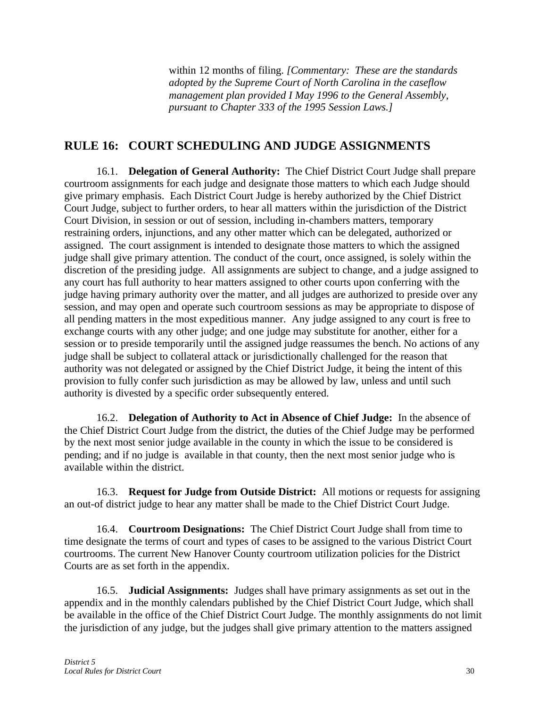within 12 months of filing. *[Commentary: These are the standards adopted by the Supreme Court of North Carolina in the caseflow management plan provided I May 1996 to the General Assembly, pursuant to Chapter 333 of the 1995 Session Laws.]*

### **RULE 16: COURT SCHEDULING AND JUDGE ASSIGNMENTS**

16.1. **Delegation of General Authority:** The Chief District Court Judge shall prepare courtroom assignments for each judge and designate those matters to which each Judge should give primary emphasis. Each District Court Judge is hereby authorized by the Chief District Court Judge, subject to further orders, to hear all matters within the jurisdiction of the District Court Division, in session or out of session, including in-chambers matters, temporary restraining orders, injunctions, and any other matter which can be delegated, authorized or assigned. The court assignment is intended to designate those matters to which the assigned judge shall give primary attention. The conduct of the court, once assigned, is solely within the discretion of the presiding judge. All assignments are subject to change, and a judge assigned to any court has full authority to hear matters assigned to other courts upon conferring with the judge having primary authority over the matter, and all judges are authorized to preside over any session, and may open and operate such courtroom sessions as may be appropriate to dispose of all pending matters in the most expeditious manner. Any judge assigned to any court is free to exchange courts with any other judge; and one judge may substitute for another, either for a session or to preside temporarily until the assigned judge reassumes the bench. No actions of any judge shall be subject to collateral attack or jurisdictionally challenged for the reason that authority was not delegated or assigned by the Chief District Judge, it being the intent of this provision to fully confer such jurisdiction as may be allowed by law, unless and until such authority is divested by a specific order subsequently entered.

16.2. **Delegation of Authority to Act in Absence of Chief Judge:** In the absence of the Chief District Court Judge from the district, the duties of the Chief Judge may be performed by the next most senior judge available in the county in which the issue to be considered is pending; and if no judge is available in that county, then the next most senior judge who is available within the district.

16.3. **Request for Judge from Outside District:** All motions or requests for assigning an out-of district judge to hear any matter shall be made to the Chief District Court Judge.

16.4. **Courtroom Designations:** The Chief District Court Judge shall from time to time designate the terms of court and types of cases to be assigned to the various District Court courtrooms. The current New Hanover County courtroom utilization policies for the District Courts are as set forth in the appendix.

16.5. **Judicial Assignments:** Judges shall have primary assignments as set out in the appendix and in the monthly calendars published by the Chief District Court Judge, which shall be available in the office of the Chief District Court Judge. The monthly assignments do not limit the jurisdiction of any judge, but the judges shall give primary attention to the matters assigned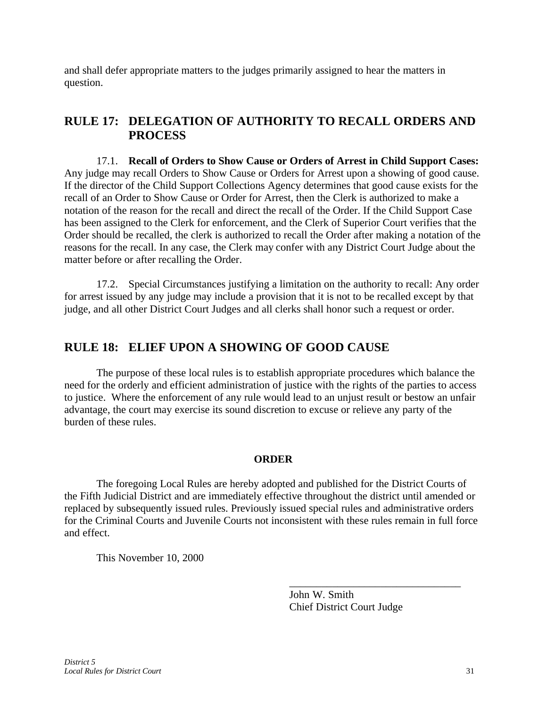and shall defer appropriate matters to the judges primarily assigned to hear the matters in question.

### **RULE 17: DELEGATION OF AUTHORITY TO RECALL ORDERS AND PROCESS**

17.1. **Recall of Orders to Show Cause or Orders of Arrest in Child Support Cases:** Any judge may recall Orders to Show Cause or Orders for Arrest upon a showing of good cause. If the director of the Child Support Collections Agency determines that good cause exists for the recall of an Order to Show Cause or Order for Arrest, then the Clerk is authorized to make a notation of the reason for the recall and direct the recall of the Order. If the Child Support Case has been assigned to the Clerk for enforcement, and the Clerk of Superior Court verifies that the Order should be recalled, the clerk is authorized to recall the Order after making a notation of the reasons for the recall. In any case, the Clerk may confer with any District Court Judge about the matter before or after recalling the Order.

17.2. Special Circumstances justifying a limitation on the authority to recall: Any order for arrest issued by any judge may include a provision that it is not to be recalled except by that judge, and all other District Court Judges and all clerks shall honor such a request or order.

### **RULE 18: ELIEF UPON A SHOWING OF GOOD CAUSE**

The purpose of these local rules is to establish appropriate procedures which balance the need for the orderly and efficient administration of justice with the rights of the parties to access to justice. Where the enforcement of any rule would lead to an unjust result or bestow an unfair advantage, the court may exercise its sound discretion to excuse or relieve any party of the burden of these rules.

#### **ORDER**

The foregoing Local Rules are hereby adopted and published for the District Courts of the Fifth Judicial District and are immediately effective throughout the district until amended or replaced by subsequently issued rules. Previously issued special rules and administrative orders for the Criminal Courts and Juvenile Courts not inconsistent with these rules remain in full force and effect.

This November 10, 2000

John W. Smith Chief District Court Judge

\_\_\_\_\_\_\_\_\_\_\_\_\_\_\_\_\_\_\_\_\_\_\_\_\_\_\_\_\_\_\_\_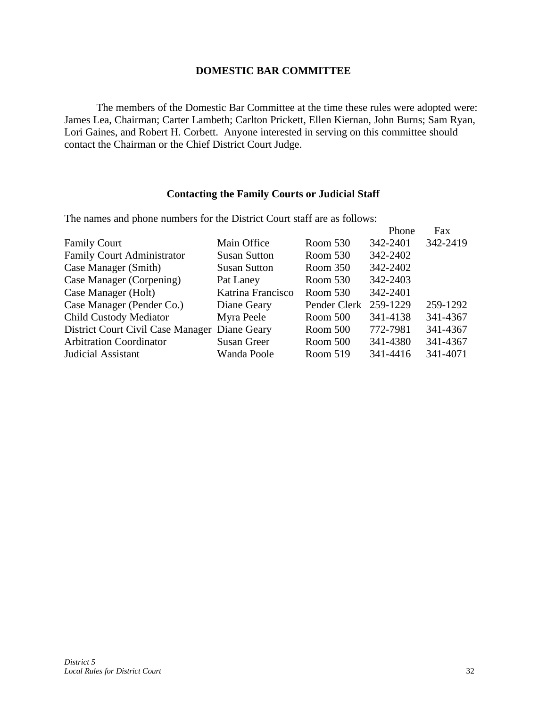#### **DOMESTIC BAR COMMITTEE**

The members of the Domestic Bar Committee at the time these rules were adopted were: James Lea, Chairman; Carter Lambeth; Carlton Prickett, Ellen Kiernan, John Burns; Sam Ryan, Lori Gaines, and Robert H. Corbett. Anyone interested in serving on this committee should contact the Chairman or the Chief District Court Judge.

#### **Contacting the Family Courts or Judicial Staff**

The names and phone numbers for the District Court staff are as follows:

|                                               |                     |                       | Phone    | Fax      |
|-----------------------------------------------|---------------------|-----------------------|----------|----------|
| <b>Family Court</b>                           | Main Office         | Room 530              | 342-2401 | 342-2419 |
| <b>Family Court Administrator</b>             | <b>Susan Sutton</b> | Room 530              | 342-2402 |          |
| Case Manager (Smith)                          | <b>Susan Sutton</b> | Room 350              | 342-2402 |          |
| Case Manager (Corpening)                      | Pat Laney           | Room 530              | 342-2403 |          |
| Case Manager (Holt)                           | Katrina Francisco   | Room 530              | 342-2401 |          |
| Case Manager (Pender Co.)                     | Diane Geary         | Pender Clerk 259-1229 |          | 259-1292 |
| <b>Child Custody Mediator</b>                 | Myra Peele          | Room 500              | 341-4138 | 341-4367 |
| District Court Civil Case Manager Diane Geary |                     | Room 500              | 772-7981 | 341-4367 |
| <b>Arbitration Coordinator</b>                | <b>Susan Greer</b>  | Room 500              | 341-4380 | 341-4367 |
| Judicial Assistant                            | Wanda Poole         | Room 519              | 341-4416 | 341-4071 |
|                                               |                     |                       |          |          |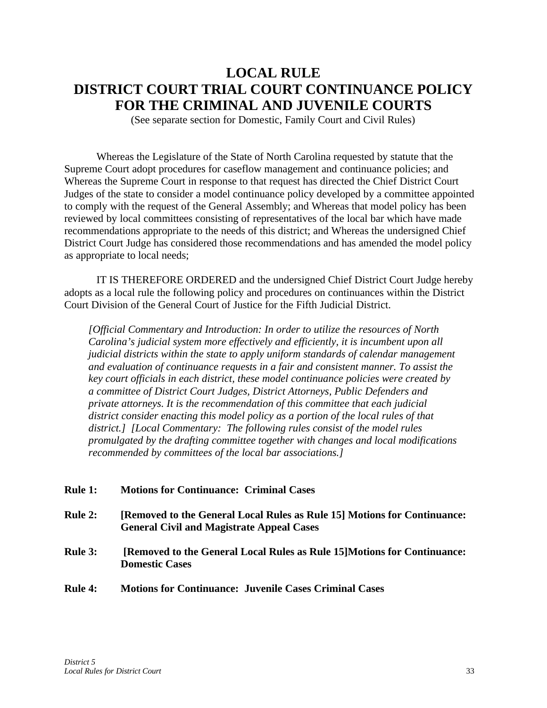# **LOCAL RULE DISTRICT COURT TRIAL COURT CONTINUANCE POLICY FOR THE CRIMINAL AND JUVENILE COURTS**

(See separate section for Domestic, Family Court and Civil Rules)

Whereas the Legislature of the State of North Carolina requested by statute that the Supreme Court adopt procedures for caseflow management and continuance policies; and Whereas the Supreme Court in response to that request has directed the Chief District Court Judges of the state to consider a model continuance policy developed by a committee appointed to comply with the request of the General Assembly; and Whereas that model policy has been reviewed by local committees consisting of representatives of the local bar which have made recommendations appropriate to the needs of this district; and Whereas the undersigned Chief District Court Judge has considered those recommendations and has amended the model policy as appropriate to local needs;

IT IS THEREFORE ORDERED and the undersigned Chief District Court Judge hereby adopts as a local rule the following policy and procedures on continuances within the District Court Division of the General Court of Justice for the Fifth Judicial District.

*[Official Commentary and Introduction: In order to utilize the resources of North Carolina's judicial system more effectively and efficiently, it is incumbent upon all judicial districts within the state to apply uniform standards of calendar management and evaluation of continuance requests in a fair and consistent manner. To assist the key court officials in each district, these model continuance policies were created by a committee of District Court Judges, District Attorneys, Public Defenders and private attorneys. It is the recommendation of this committee that each judicial district consider enacting this model policy as a portion of the local rules of that district.] [Local Commentary: The following rules consist of the model rules promulgated by the drafting committee together with changes and local modifications recommended by committees of the local bar associations.]*

| <b>Rule 1:</b> | <b>Motions for Continuance: Criminal Cases</b>                                                                               |
|----------------|------------------------------------------------------------------------------------------------------------------------------|
| <b>Rule 2:</b> | [Removed to the General Local Rules as Rule 15] Motions for Continuance:<br><b>General Civil and Magistrate Appeal Cases</b> |
| <b>Rule 3:</b> | [Removed to the General Local Rules as Rule 15] Motions for Continuance:<br><b>Domestic Cases</b>                            |
| <b>Rule 4:</b> | <b>Motions for Continuance: Juvenile Cases Criminal Cases</b>                                                                |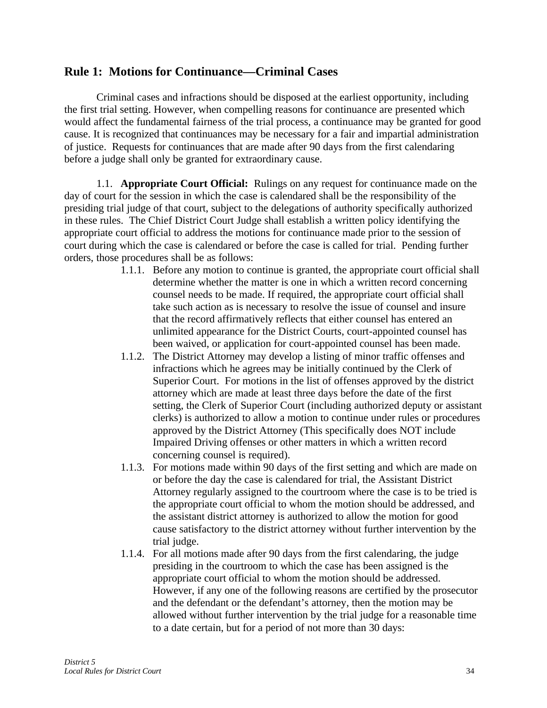### **Rule 1: Motions for Continuance—Criminal Cases**

Criminal cases and infractions should be disposed at the earliest opportunity, including the first trial setting. However, when compelling reasons for continuance are presented which would affect the fundamental fairness of the trial process, a continuance may be granted for good cause. It is recognized that continuances may be necessary for a fair and impartial administration of justice. Requests for continuances that are made after 90 days from the first calendaring before a judge shall only be granted for extraordinary cause.

1.1. **Appropriate Court Official:** Rulings on any request for continuance made on the day of court for the session in which the case is calendared shall be the responsibility of the presiding trial judge of that court, subject to the delegations of authority specifically authorized in these rules. The Chief District Court Judge shall establish a written policy identifying the appropriate court official to address the motions for continuance made prior to the session of court during which the case is calendared or before the case is called for trial. Pending further orders, those procedures shall be as follows:

- 1.1.1. Before any motion to continue is granted, the appropriate court official shall determine whether the matter is one in which a written record concerning counsel needs to be made. If required, the appropriate court official shall take such action as is necessary to resolve the issue of counsel and insure that the record affirmatively reflects that either counsel has entered an unlimited appearance for the District Courts, court-appointed counsel has been waived, or application for court-appointed counsel has been made.
- 1.1.2. The District Attorney may develop a listing of minor traffic offenses and infractions which he agrees may be initially continued by the Clerk of Superior Court. For motions in the list of offenses approved by the district attorney which are made at least three days before the date of the first setting, the Clerk of Superior Court (including authorized deputy or assistant clerks) is authorized to allow a motion to continue under rules or procedures approved by the District Attorney (This specifically does NOT include Impaired Driving offenses or other matters in which a written record concerning counsel is required).
- 1.1.3. For motions made within 90 days of the first setting and which are made on or before the day the case is calendared for trial, the Assistant District Attorney regularly assigned to the courtroom where the case is to be tried is the appropriate court official to whom the motion should be addressed, and the assistant district attorney is authorized to allow the motion for good cause satisfactory to the district attorney without further intervention by the trial judge.
- 1.1.4. For all motions made after 90 days from the first calendaring, the judge presiding in the courtroom to which the case has been assigned is the appropriate court official to whom the motion should be addressed. However, if any one of the following reasons are certified by the prosecutor and the defendant or the defendant's attorney, then the motion may be allowed without further intervention by the trial judge for a reasonable time to a date certain, but for a period of not more than 30 days: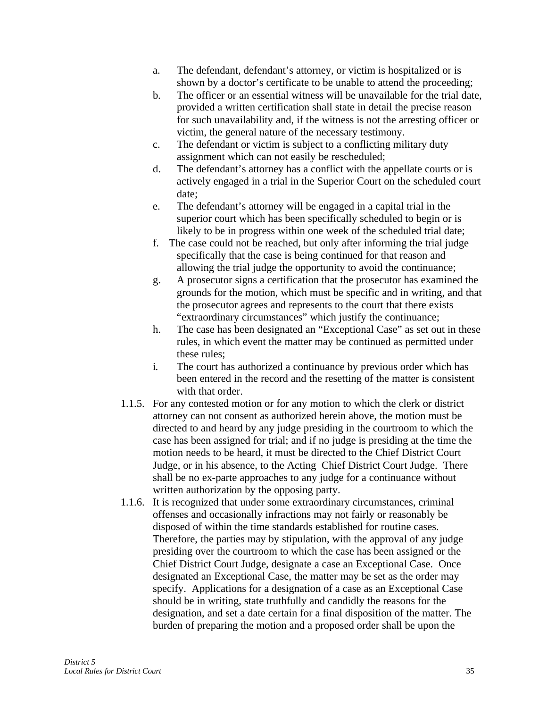- a. The defendant, defendant's attorney, or victim is hospitalized or is shown by a doctor's certificate to be unable to attend the proceeding;
- b. The officer or an essential witness will be unavailable for the trial date, provided a written certification shall state in detail the precise reason for such unavailability and, if the witness is not the arresting officer or victim, the general nature of the necessary testimony.
- c. The defendant or victim is subject to a conflicting military duty assignment which can not easily be rescheduled;
- d. The defendant's attorney has a conflict with the appellate courts or is actively engaged in a trial in the Superior Court on the scheduled court date;
- e. The defendant's attorney will be engaged in a capital trial in the superior court which has been specifically scheduled to begin or is likely to be in progress within one week of the scheduled trial date;
- f. The case could not be reached, but only after informing the trial judge specifically that the case is being continued for that reason and allowing the trial judge the opportunity to avoid the continuance;
- g. A prosecutor signs a certification that the prosecutor has examined the grounds for the motion, which must be specific and in writing, and that the prosecutor agrees and represents to the court that there exists "extraordinary circumstances" which justify the continuance;
- h. The case has been designated an "Exceptional Case" as set out in these rules, in which event the matter may be continued as permitted under these rules;
- i. The court has authorized a continuance by previous order which has been entered in the record and the resetting of the matter is consistent with that order.
- 1.1.5. For any contested motion or for any motion to which the clerk or district attorney can not consent as authorized herein above, the motion must be directed to and heard by any judge presiding in the courtroom to which the case has been assigned for trial; and if no judge is presiding at the time the motion needs to be heard, it must be directed to the Chief District Court Judge, or in his absence, to the Acting Chief District Court Judge. There shall be no ex-parte approaches to any judge for a continuance without written authorization by the opposing party.
- 1.1.6. It is recognized that under some extraordinary circumstances, criminal offenses and occasionally infractions may not fairly or reasonably be disposed of within the time standards established for routine cases. Therefore, the parties may by stipulation, with the approval of any judge presiding over the courtroom to which the case has been assigned or the Chief District Court Judge, designate a case an Exceptional Case. Once designated an Exceptional Case, the matter may be set as the order may specify. Applications for a designation of a case as an Exceptional Case should be in writing, state truthfully and candidly the reasons for the designation, and set a date certain for a final disposition of the matter. The burden of preparing the motion and a proposed order shall be upon the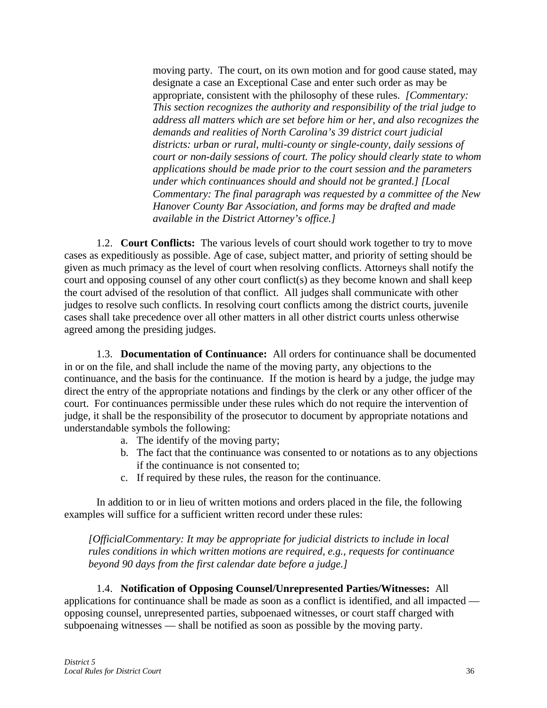moving party. The court, on its own motion and for good cause stated, may designate a case an Exceptional Case and enter such order as may be appropriate, consistent with the philosophy of these rules. *[Commentary: This section recognizes the authority and responsibility of the trial judge to address all matters which are set before him or her, and also recognizes the demands and realities of North Carolina's 39 district court judicial districts: urban or rural, multi-county or single-county, daily sessions of court or non-daily sessions of court. The policy should clearly state to whom applications should be made prior to the court session and the parameters under which continuances should and should not be granted.] [Local Commentary: The final paragraph was requested by a committee of the New Hanover County Bar Association, and forms may be drafted and made available in the District Attorney's office.]*

1.2. **Court Conflicts:** The various levels of court should work together to try to move cases as expeditiously as possible. Age of case, subject matter, and priority of setting should be given as much primacy as the level of court when resolving conflicts. Attorneys shall notify the court and opposing counsel of any other court conflict(s) as they become known and shall keep the court advised of the resolution of that conflict. All judges shall communicate with other judges to resolve such conflicts. In resolving court conflicts among the district courts, juvenile cases shall take precedence over all other matters in all other district courts unless otherwise agreed among the presiding judges.

1.3. **Documentation of Continuance:** All orders for continuance shall be documented in or on the file, and shall include the name of the moving party, any objections to the continuance, and the basis for the continuance. If the motion is heard by a judge, the judge may direct the entry of the appropriate notations and findings by the clerk or any other officer of the court. For continuances permissible under these rules which do not require the intervention of judge, it shall be the responsibility of the prosecutor to document by appropriate notations and understandable symbols the following:

- a. The identify of the moving party;
- b. The fact that the continuance was consented to or notations as to any objections if the continuance is not consented to;
- c. If required by these rules, the reason for the continuance.

In addition to or in lieu of written motions and orders placed in the file, the following examples will suffice for a sufficient written record under these rules:

*[OfficialCommentary: It may be appropriate for judicial districts to include in local rules conditions in which written motions are required, e.g., requests for continuance beyond 90 days from the first calendar date before a judge.]* 

1.4. **Notification of Opposing Counsel/Unrepresented Parties/Witnesses:** All applications for continuance shall be made as soon as a conflict is identified, and all impacted opposing counsel, unrepresented parties, subpoenaed witnesses, or court staff charged with subpoenaing witnesses — shall be notified as soon as possible by the moving party.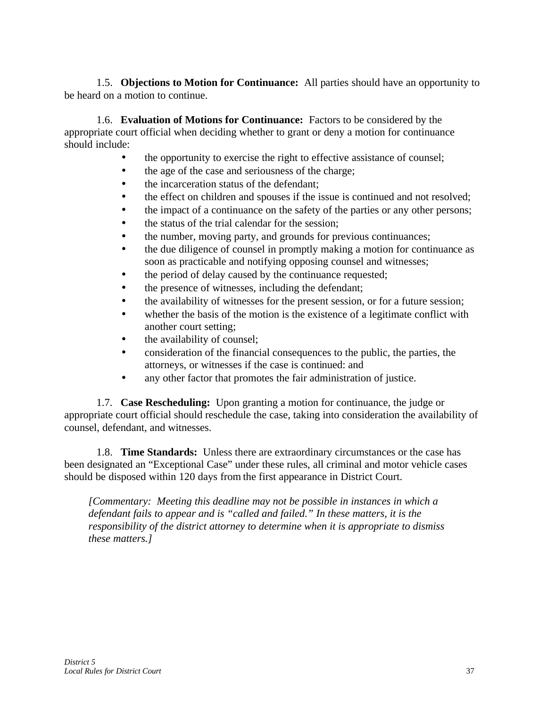1.5. **Objections to Motion for Continuance:** All parties should have an opportunity to be heard on a motion to continue.

1.6. **Evaluation of Motions for Continuance:** Factors to be considered by the appropriate court official when deciding whether to grant or deny a motion for continuance should include:

- the opportunity to exercise the right to effective assistance of counsel;
- the age of the case and seriousness of the charge;
- the incarceration status of the defendant;
- the effect on children and spouses if the issue is continued and not resolved;
- the impact of a continuance on the safety of the parties or any other persons;
- the status of the trial calendar for the session;
- the number, moving party, and grounds for previous continuances;
- the due diligence of counsel in promptly making a motion for continuance as soon as practicable and notifying opposing counsel and witnesses;
- the period of delay caused by the continuance requested;
- the presence of witnesses, including the defendant;
- the availability of witnesses for the present session, or for a future session;
- whether the basis of the motion is the existence of a legitimate conflict with another court setting;
- the availability of counsel;
- consideration of the financial consequences to the public, the parties, the attorneys, or witnesses if the case is continued: and
- any other factor that promotes the fair administration of justice.

1.7. **Case Rescheduling:** Upon granting a motion for continuance, the judge or appropriate court official should reschedule the case, taking into consideration the availability of counsel, defendant, and witnesses.

1.8. **Time Standards:** Unless there are extraordinary circumstances or the case has been designated an "Exceptional Case" under these rules, all criminal and motor vehicle cases should be disposed within 120 days from the first appearance in District Court.

*[Commentary: Meeting this deadline may not be possible in instances in which a defendant fails to appear and is "called and failed." In these matters, it is the responsibility of the district attorney to determine when it is appropriate to dismiss these matters.]*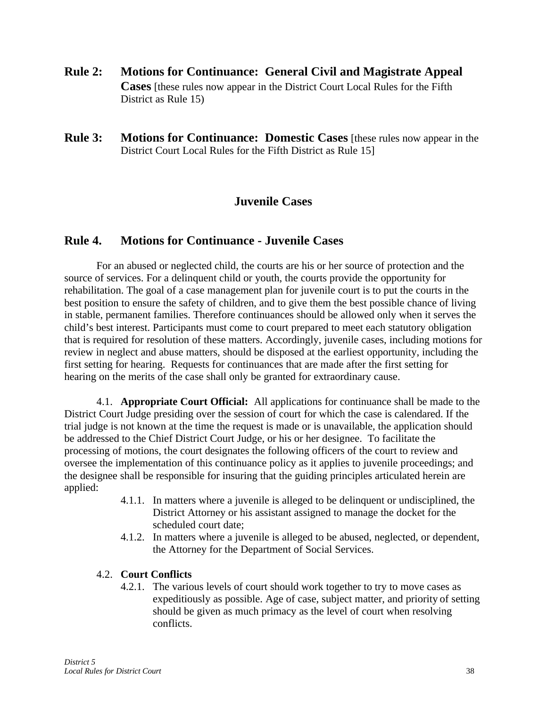- **Rule 2: Motions for Continuance: General Civil and Magistrate Appeal Cases** [these rules now appear in the District Court Local Rules for the Fifth District as Rule 15)
- **Rule 3: Motions for Continuance: Domestic Cases** [these rules now appear in the District Court Local Rules for the Fifth District as Rule 15]

### **Juvenile Cases**

### **Rule 4. Motions for Continuance - Juvenile Cases**

For an abused or neglected child, the courts are his or her source of protection and the source of services. For a delinquent child or youth, the courts provide the opportunity for rehabilitation. The goal of a case management plan for juvenile court is to put the courts in the best position to ensure the safety of children, and to give them the best possible chance of living in stable, permanent families. Therefore continuances should be allowed only when it serves the child's best interest. Participants must come to court prepared to meet each statutory obligation that is required for resolution of these matters. Accordingly, juvenile cases, including motions for review in neglect and abuse matters, should be disposed at the earliest opportunity, including the first setting for hearing. Requests for continuances that are made after the first setting for hearing on the merits of the case shall only be granted for extraordinary cause.

4.1. **Appropriate Court Official:** All applications for continuance shall be made to the District Court Judge presiding over the session of court for which the case is calendared. If the trial judge is not known at the time the request is made or is unavailable, the application should be addressed to the Chief District Court Judge, or his or her designee. To facilitate the processing of motions, the court designates the following officers of the court to review and oversee the implementation of this continuance policy as it applies to juvenile proceedings; and the designee shall be responsible for insuring that the guiding principles articulated herein are applied:

- 4.1.1. In matters where a juvenile is alleged to be delinquent or undisciplined, the District Attorney or his assistant assigned to manage the docket for the scheduled court date;
- 4.1.2. In matters where a juvenile is alleged to be abused, neglected, or dependent, the Attorney for the Department of Social Services.

#### 4.2. **Court Conflicts**

4.2.1. The various levels of court should work together to try to move cases as expeditiously as possible. Age of case, subject matter, and priority of setting should be given as much primacy as the level of court when resolving conflicts.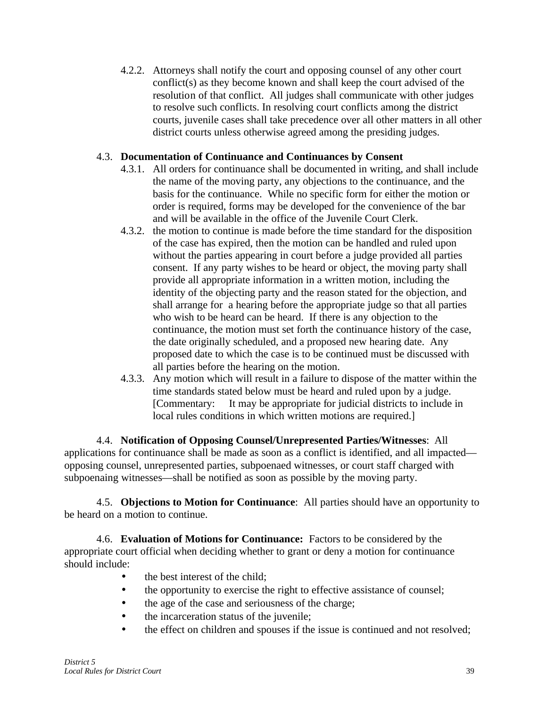4.2.2. Attorneys shall notify the court and opposing counsel of any other court conflict(s) as they become known and shall keep the court advised of the resolution of that conflict. All judges shall communicate with other judges to resolve such conflicts. In resolving court conflicts among the district courts, juvenile cases shall take precedence over all other matters in all other district courts unless otherwise agreed among the presiding judges.

### 4.3. **Documentation of Continuance and Continuances by Consent**

- 4.3.1. All orders for continuance shall be documented in writing, and shall include the name of the moving party, any objections to the continuance, and the basis for the continuance. While no specific form for either the motion or order is required, forms may be developed for the convenience of the bar and will be available in the office of the Juvenile Court Clerk.
- 4.3.2. the motion to continue is made before the time standard for the disposition of the case has expired, then the motion can be handled and ruled upon without the parties appearing in court before a judge provided all parties consent. If any party wishes to be heard or object, the moving party shall provide all appropriate information in a written motion, including the identity of the objecting party and the reason stated for the objection, and shall arrange for a hearing before the appropriate judge so that all parties who wish to be heard can be heard. If there is any objection to the continuance, the motion must set forth the continuance history of the case, the date originally scheduled, and a proposed new hearing date. Any proposed date to which the case is to be continued must be discussed with all parties before the hearing on the motion.
- 4.3.3. Any motion which will result in a failure to dispose of the matter within the time standards stated below must be heard and ruled upon by a judge. [Commentary: It may be appropriate for judicial districts to include in local rules conditions in which written motions are required.]

4.4. **Notification of Opposing Counsel/Unrepresented Parties/Witnesses**: All applications for continuance shall be made as soon as a conflict is identified, and all impacted opposing counsel, unrepresented parties, subpoenaed witnesses, or court staff charged with subpoenaing witnesses—shall be notified as soon as possible by the moving party.

4.5. **Objections to Motion for Continuance**: All parties should have an opportunity to be heard on a motion to continue.

4.6. **Evaluation of Motions for Continuance:** Factors to be considered by the appropriate court official when deciding whether to grant or deny a motion for continuance should include:

- the best interest of the child;
- the opportunity to exercise the right to effective assistance of counsel;
- the age of the case and seriousness of the charge;
- the incarceration status of the juvenile;
- the effect on children and spouses if the issue is continued and not resolved;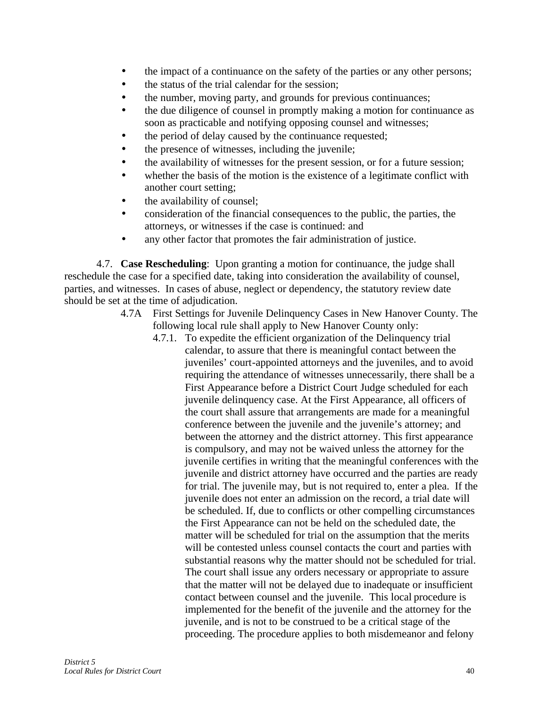- the impact of a continuance on the safety of the parties or any other persons;
- the status of the trial calendar for the session;
- the number, moving party, and grounds for previous continuances;
- the due diligence of counsel in promptly making a motion for continuance as soon as practicable and notifying opposing counsel and witnesses;
- the period of delay caused by the continuance requested;
- the presence of witnesses, including the juvenile;
- the availability of witnesses for the present session, or for a future session;
- whether the basis of the motion is the existence of a legitimate conflict with another court setting;
- the availability of counsel;
- consideration of the financial consequences to the public, the parties, the attorneys, or witnesses if the case is continued: and
- any other factor that promotes the fair administration of justice.

4.7. **Case Rescheduling**: Upon granting a motion for continuance, the judge shall reschedule the case for a specified date, taking into consideration the availability of counsel, parties, and witnesses. In cases of abuse, neglect or dependency, the statutory review date should be set at the time of adjudication.

- 4.7A First Settings for Juvenile Delinquency Cases in New Hanover County. The following local rule shall apply to New Hanover County only:
	- 4.7.1. To expedite the efficient organization of the Delinquency trial calendar, to assure that there is meaningful contact between the juveniles' court-appointed attorneys and the juveniles, and to avoid requiring the attendance of witnesses unnecessarily, there shall be a First Appearance before a District Court Judge scheduled for each juvenile delinquency case. At the First Appearance, all officers of the court shall assure that arrangements are made for a meaningful conference between the juvenile and the juvenile's attorney; and between the attorney and the district attorney. This first appearance is compulsory, and may not be waived unless the attorney for the juvenile certifies in writing that the meaningful conferences with the juvenile and district attorney have occurred and the parties are ready for trial. The juvenile may, but is not required to, enter a plea. If the juvenile does not enter an admission on the record, a trial date will be scheduled. If, due to conflicts or other compelling circumstances the First Appearance can not be held on the scheduled date, the matter will be scheduled for trial on the assumption that the merits will be contested unless counsel contacts the court and parties with substantial reasons why the matter should not be scheduled for trial. The court shall issue any orders necessary or appropriate to assure that the matter will not be delayed due to inadequate or insufficient contact between counsel and the juvenile. This local procedure is implemented for the benefit of the juvenile and the attorney for the juvenile, and is not to be construed to be a critical stage of the proceeding. The procedure applies to both misdemeanor and felony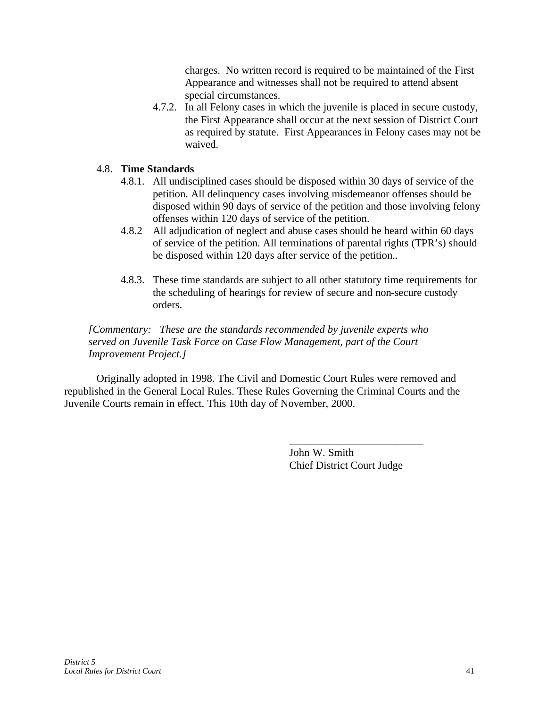charges. No written record is required to be maintained of the First Appearance and witnesses shall not be required to attend absent special circumstances.

4.7.2. In all Felony cases in which the juvenile is placed in secure custody, the First Appearance shall occur at the next session of District Court as required by statute. First Appearances in Felony cases may not be waived.

#### 4.8. **Time Standards**

- 4.8.1. All undisciplined cases should be disposed within 30 days of service of the petition. All delinquency cases involving misdemeanor offenses should be disposed within 90 days of service of the petition and those involving felony offenses within 120 days of service of the petition.
- 4.8.2 All adjudication of neglect and abuse cases should be heard within 60 days of service of the petition. All terminations of parental rights (TPR's) should be disposed within 120 days after service of the petition..
- 4.8.3. These time standards are subject to all other statutory time requirements for the scheduling of hearings for review of secure and non-secure custody orders.

*[Commentary: These are the standards recommended by juvenile experts who served on Juvenile Task Force on Case Flow Management, part of the Court Improvement Project.]*

Originally adopted in 1998. The Civil and Domestic Court Rules were removed and republished in the General Local Rules. These Rules Governing the Criminal Courts and the Juvenile Courts remain in effect. This 10th day of November, 2000.

> John W. Smith Chief District Court Judge

\_\_\_\_\_\_\_\_\_\_\_\_\_\_\_\_\_\_\_\_\_\_\_\_\_